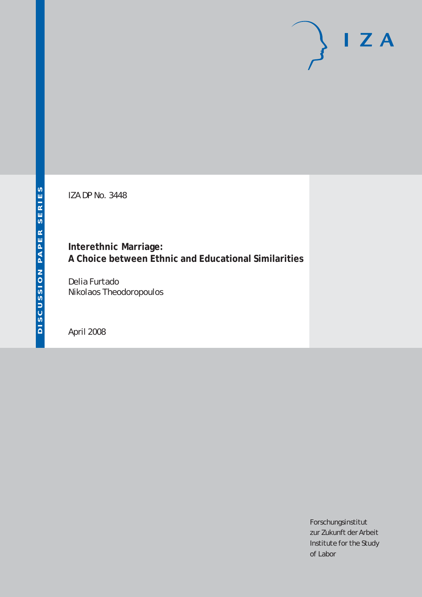# $I Z A$

IZA DP No. 3448

# **Interethnic Marriage: A Choice between Ethnic and Educational Similarities**

Delia Furtado Nikolaos Theodoropoulos

April 2008

Forschungsinstitut zur Zukunft der Arbeit Institute for the Study of Labor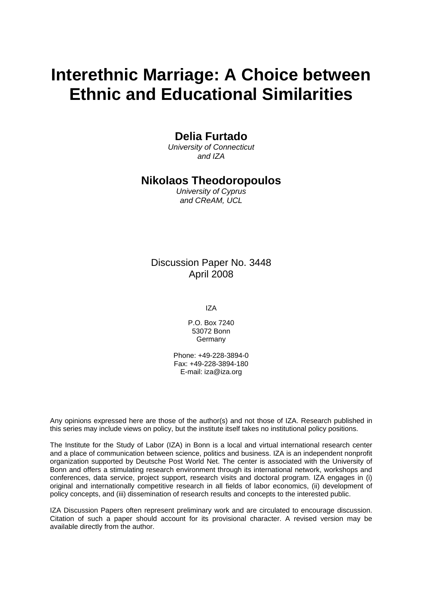# **Interethnic Marriage: A Choice between Ethnic and Educational Similarities**

# **Delia Furtado**

*University of Connecticut and IZA* 

# **Nikolaos Theodoropoulos**

*University of Cyprus and CReAM, UCL* 

Discussion Paper No. 3448 April 2008

IZA

P.O. Box 7240 53072 Bonn Germany

Phone: +49-228-3894-0 Fax: +49-228-3894-180 E-mail: [iza@iza.org](mailto:iza@iza.org)

Any opinions expressed here are those of the author(s) and not those of IZA. Research published in this series may include views on policy, but the institute itself takes no institutional policy positions.

The Institute for the Study of Labor (IZA) in Bonn is a local and virtual international research center and a place of communication between science, politics and business. IZA is an independent nonprofit organization supported by Deutsche Post World Net. The center is associated with the University of Bonn and offers a stimulating research environment through its international network, workshops and conferences, data service, project support, research visits and doctoral program. IZA engages in (i) original and internationally competitive research in all fields of labor economics, (ii) development of policy concepts, and (iii) dissemination of research results and concepts to the interested public.

IZA Discussion Papers often represent preliminary work and are circulated to encourage discussion. Citation of such a paper should account for its provisional character. A revised version may be available directly from the author.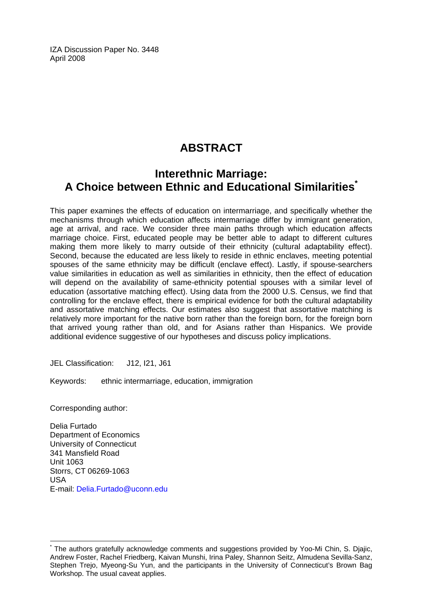IZA Discussion Paper No. 3448 April 2008

# **ABSTRACT**

# **Interethnic Marriage: A Choice between Ethnic and Educational Similarities[\\*](#page-2-0)**

This paper examines the effects of education on intermarriage, and specifically whether the mechanisms through which education affects intermarriage differ by immigrant generation, age at arrival, and race. We consider three main paths through which education affects marriage choice. First, educated people may be better able to adapt to different cultures making them more likely to marry outside of their ethnicity (cultural adaptability effect). Second, because the educated are less likely to reside in ethnic enclaves, meeting potential spouses of the same ethnicity may be difficult (enclave effect). Lastly, if spouse-searchers value similarities in education as well as similarities in ethnicity, then the effect of education will depend on the availability of same-ethnicity potential spouses with a similar level of education (assortative matching effect). Using data from the 2000 U.S. Census, we find that controlling for the enclave effect, there is empirical evidence for both the cultural adaptability and assortative matching effects. Our estimates also suggest that assortative matching is relatively more important for the native born rather than the foreign born, for the foreign born that arrived young rather than old, and for Asians rather than Hispanics. We provide additional evidence suggestive of our hypotheses and discuss policy implications.

JEL Classification: J12, I21, J61

Keywords: ethnic intermarriage, education, immigration

Corresponding author:

 $\overline{a}$ 

Delia Furtado Department of Economics University of Connecticut 341 Mansfield Road Unit 1063 Storrs, CT 06269-1063 USA E-mail: [Delia.Furtado@uconn.edu](mailto:Delia.Furtado@uconn.edu)

<span id="page-2-0"></span><sup>\*</sup> The authors gratefully acknowledge comments and suggestions provided by Yoo-Mi Chin, S. Djajic, Andrew Foster, Rachel Friedberg, Kaivan Munshi, Irina Paley, Shannon Seitz, Almudena Sevilla-Sanz, Stephen Trejo, Myeong-Su Yun, and the participants in the University of Connecticut's Brown Bag Workshop. The usual caveat applies.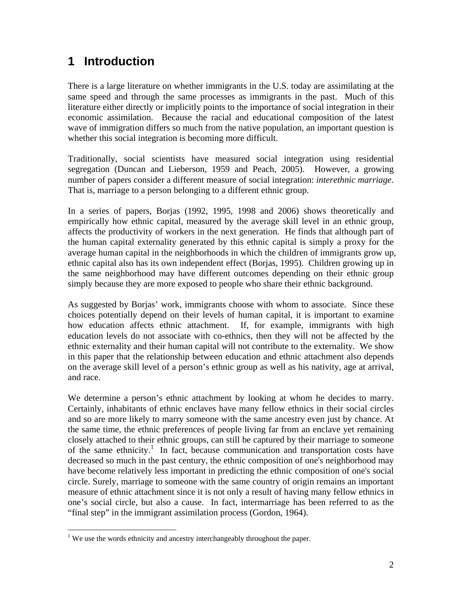# **1 Introduction**

There is a large literature on whether immigrants in the U.S. today are assimilating at the same speed and through the same processes as immigrants in the past. Much of this literature either directly or implicitly points to the importance of social integration in their economic assimilation. Because the racial and educational composition of the latest wave of immigration differs so much from the native population, an important question is whether this social integration is becoming more difficult.

Traditionally, social scientists have measured social integration using residential segregation (Duncan and Lieberson, 1959 and Peach, 2005). However, a growing number of papers consider a different measure of social integration: *interethnic marriage*. That is, marriage to a person belonging to a different ethnic group.

In a series of papers, Borjas (1992, 1995, 1998 and 2006) shows theoretically and empirically how ethnic capital, measured by the average skill level in an ethnic group, affects the productivity of workers in the next generation. He finds that although part of the human capital externality generated by this ethnic capital is simply a proxy for the average human capital in the neighborhoods in which the children of immigrants grow up, ethnic capital also has its own independent effect (Borjas, 1995). Children growing up in the same neighborhood may have different outcomes depending on their ethnic group simply because they are more exposed to people who share their ethnic background.

As suggested by Borjas' work, immigrants choose with whom to associate. Since these choices potentially depend on their levels of human capital, it is important to examine how education affects ethnic attachment. If, for example, immigrants with high education levels do not associate with co-ethnics, then they will not be affected by the ethnic externality and their human capital will not contribute to the externality. We show in this paper that the relationship between education and ethnic attachment also depends on the average skill level of a person's ethnic group as well as his nativity, age at arrival, and race.

We determine a person's ethnic attachment by looking at whom he decides to marry. Certainly, inhabitants of ethnic enclaves have many fellow ethnics in their social circles and so are more likely to marry someone with the same ancestry even just by chance. At the same time, the ethnic preferences of people living far from an enclave yet remaining closely attached to their ethnic groups, can still be captured by their marriage to someone of the same ethnicity.<sup>1</sup> In fact, because communication and transportation costs have decreased so much in the past century, the ethnic composition of one's neighborhood may have become relatively less important in predicting the ethnic composition of one's social circle. Surely, marriage to someone with the same country of origin remains an important measure of ethnic attachment since it is not only a result of having many fellow ethnics in one's social circle, but also a cause. In fact, intermarriage has been referred to as the "final step" in the immigrant assimilation process (Gordon, 1964).

 $\overline{a}$ 

<sup>&</sup>lt;sup>1</sup> We use the words ethnicity and ancestry interchangeably throughout the paper.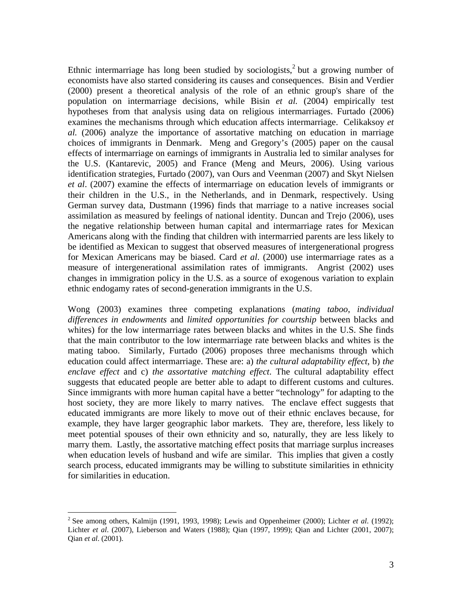Ethnic intermarriage has long been studied by sociologists, $2$  but a growing number of economists have also started considering its causes and consequences. Bisin and Verdier (2000) present a theoretical analysis of the role of an ethnic group's share of the population on intermarriage decisions, while Bisin *et al.* (2004) empirically test hypotheses from that analysis using data on religious intermarriages. Furtado (2006) examines the mechanisms through which education affects intermarriage. Celikaksoy *et al.* (2006) analyze the importance of assortative matching on education in marriage choices of immigrants in Denmark. Meng and Gregory's (2005) paper on the causal effects of intermarriage on earnings of immigrants in Australia led to similar analyses for the U.S. (Kantarevic, 2005) and France (Meng and Meurs, 2006). Using various identification strategies, Furtado (2007), van Ours and Veenman (2007) and Skyt Nielsen *et al*. (2007) examine the effects of intermarriage on education levels of immigrants or their children in the U.S., in the Netherlands, and in Denmark, respectively. Using German survey data, Dustmann (1996) finds that marriage to a native increases social assimilation as measured by feelings of national identity. Duncan and Trejo (2006), uses the negative relationship between human capital and intermarriage rates for Mexican Americans along with the finding that children with intermarried parents are less likely to be identified as Mexican to suggest that observed measures of intergenerational progress for Mexican Americans may be biased. Card *et al*. (2000) use intermarriage rates as a measure of intergenerational assimilation rates of immigrants. Angrist (2002) uses changes in immigration policy in the U.S. as a source of exogenous variation to explain ethnic endogamy rates of second-generation immigrants in the U.S.

Wong (2003) examines three competing explanations (*mating taboo*, *individual differences in endowments* and *limited opportunities for courtship* between blacks and whites) for the low intermarriage rates between blacks and whites in the U.S. She finds that the main contributor to the low intermarriage rate between blacks and whites is the mating taboo. Similarly, Furtado (2006) proposes three mechanisms through which education could affect intermarriage. These are: a) *the cultural adaptability effect*, b) *the enclave effect* and c) *the assortative matching effect*. The cultural adaptability effect suggests that educated people are better able to adapt to different customs and cultures. Since immigrants with more human capital have a better "technology" for adapting to the host society, they are more likely to marry natives. The enclave effect suggests that educated immigrants are more likely to move out of their ethnic enclaves because, for example, they have larger geographic labor markets. They are, therefore, less likely to meet potential spouses of their own ethnicity and so, naturally, they are less likely to marry them. Lastly, the assortative matching effect posits that marriage surplus increases when education levels of husband and wife are similar. This implies that given a costly search process, educated immigrants may be willing to substitute similarities in ethnicity for similarities in education.

 $\overline{a}$ 

<sup>2</sup> See among others, Kalmijn (1991, 1993, 1998); Lewis and Oppenheimer (2000); Lichter *et al*. (1992); Lichter *et al*. (2007), Lieberson and Waters (1988); Qian (1997, 1999); Qian and Lichter (2001, 2007); Qian *et al*. (2001).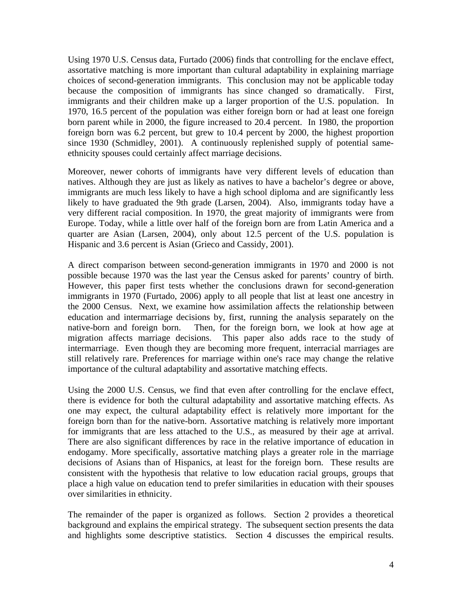Using 1970 U.S. Census data, Furtado (2006) finds that controlling for the enclave effect, assortative matching is more important than cultural adaptability in explaining marriage choices of second-generation immigrants. This conclusion may not be applicable today because the composition of immigrants has since changed so dramatically. First, immigrants and their children make up a larger proportion of the U.S. population. In 1970, 16.5 percent of the population was either foreign born or had at least one foreign born parent while in 2000, the figure increased to 20.4 percent. In 1980, the proportion foreign born was 6.2 percent, but grew to 10.4 percent by 2000, the highest proportion since 1930 (Schmidley, 2001). A continuously replenished supply of potential sameethnicity spouses could certainly affect marriage decisions.

Moreover, newer cohorts of immigrants have very different levels of education than natives. Although they are just as likely as natives to have a bachelor's degree or above, immigrants are much less likely to have a high school diploma and are significantly less likely to have graduated the 9th grade (Larsen, 2004). Also, immigrants today have a very different racial composition. In 1970, the great majority of immigrants were from Europe. Today, while a little over half of the foreign born are from Latin America and a quarter are Asian (Larsen, 2004), only about 12.5 percent of the U.S. population is Hispanic and 3.6 percent is Asian (Grieco and Cassidy, 2001).

A direct comparison between second-generation immigrants in 1970 and 2000 is not possible because 1970 was the last year the Census asked for parents' country of birth. However, this paper first tests whether the conclusions drawn for second-generation immigrants in 1970 (Furtado, 2006) apply to all people that list at least one ancestry in the 2000 Census. Next, we examine how assimilation affects the relationship between education and intermarriage decisions by, first, running the analysis separately on the native-born and foreign born. Then, for the foreign born, we look at how age at migration affects marriage decisions. This paper also adds race to the study of intermarriage. Even though they are becoming more frequent, interracial marriages are still relatively rare. Preferences for marriage within one's race may change the relative importance of the cultural adaptability and assortative matching effects.

Using the 2000 U.S. Census, we find that even after controlling for the enclave effect, there is evidence for both the cultural adaptability and assortative matching effects. As one may expect, the cultural adaptability effect is relatively more important for the foreign born than for the native-born. Assortative matching is relatively more important for immigrants that are less attached to the U.S., as measured by their age at arrival. There are also significant differences by race in the relative importance of education in endogamy. More specifically, assortative matching plays a greater role in the marriage decisions of Asians than of Hispanics, at least for the foreign born. These results are consistent with the hypothesis that relative to low education racial groups, groups that place a high value on education tend to prefer similarities in education with their spouses over similarities in ethnicity.

The remainder of the paper is organized as follows. Section 2 provides a theoretical background and explains the empirical strategy. The subsequent section presents the data and highlights some descriptive statistics. Section 4 discusses the empirical results.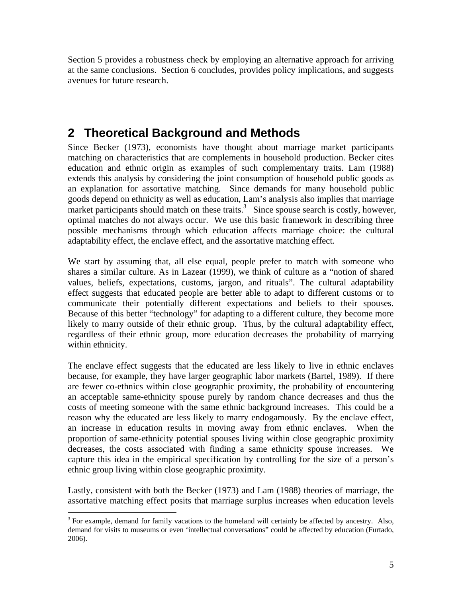Section 5 provides a robustness check by employing an alternative approach for arriving at the same conclusions. Section 6 concludes, provides policy implications, and suggests avenues for future research.

# **2 Theoretical Background and Methods**

Since Becker (1973), economists have thought about marriage market participants matching on characteristics that are complements in household production. Becker cites education and ethnic origin as examples of such complementary traits. Lam (1988) extends this analysis by considering the joint consumption of household public goods as an explanation for assortative matching. Since demands for many household public goods depend on ethnicity as well as education, Lam's analysis also implies that marriage market participants should match on these traits.<sup>3</sup> Since spouse search is costly, however, optimal matches do not always occur. We use this basic framework in describing three possible mechanisms through which education affects marriage choice: the cultural adaptability effect, the enclave effect, and the assortative matching effect.

We start by assuming that, all else equal, people prefer to match with someone who shares a similar culture. As in Lazear (1999), we think of culture as a "notion of shared values, beliefs, expectations, customs, jargon, and rituals". The cultural adaptability effect suggests that educated people are better able to adapt to different customs or to communicate their potentially different expectations and beliefs to their spouses. Because of this better "technology" for adapting to a different culture, they become more likely to marry outside of their ethnic group. Thus, by the cultural adaptability effect, regardless of their ethnic group, more education decreases the probability of marrying within ethnicity.

The enclave effect suggests that the educated are less likely to live in ethnic enclaves because, for example, they have larger geographic labor markets (Bartel, 1989). If there are fewer co-ethnics within close geographic proximity, the probability of encountering an acceptable same-ethnicity spouse purely by random chance decreases and thus the costs of meeting someone with the same ethnic background increases. This could be a reason why the educated are less likely to marry endogamously. By the enclave effect, an increase in education results in moving away from ethnic enclaves. When the proportion of same-ethnicity potential spouses living within close geographic proximity decreases, the costs associated with finding a same ethnicity spouse increases. We capture this idea in the empirical specification by controlling for the size of a person's ethnic group living within close geographic proximity.

Lastly, consistent with both the Becker (1973) and Lam (1988) theories of marriage, the assortative matching effect posits that marriage surplus increases when education levels

 $\overline{a}$ 

 $3$  For example, demand for family vacations to the homeland will certainly be affected by ancestry. Also, demand for visits to museums or even 'intellectual conversations" could be affected by education (Furtado, 2006).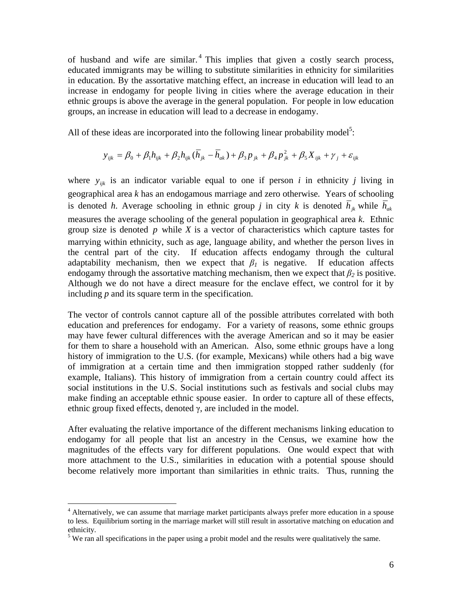of husband and wife are similar.<sup>4</sup> This implies that given a costly search process, educated immigrants may be willing to substitute similarities in ethnicity for similarities in education. By the assortative matching effect, an increase in education will lead to an increase in endogamy for people living in cities where the average education in their ethnic groups is above the average in the general population. For people in low education groups, an increase in education will lead to a decrease in endogamy.

All of these ideas are incorporated into the following linear probability model<sup>5</sup>:

$$
y_{ijk} = \beta_0 + \beta_1 h_{ijk} + \beta_2 h_{ijk} (\bar{h}_{jk} - \bar{h}_{ak}) + \beta_3 p_{jk} + \beta_4 p_{jk}^2 + \beta_5 X_{ijk} + \gamma_j + \varepsilon_{ijk}
$$

where  $y_{ijk}$  is an indicator variable equal to one if person *i* in ethnicity *j* living in geographical area *k* has an endogamous marriage and zero otherwise*.* Years of schooling is denoted *h*. Average schooling in ethnic group *j* in city *k* is denoted  $\overline{h}_{ik}$  while  $\overline{h}_{ak}$ measures the average schooling of the general population in geographical area *k*. Ethnic group size is denoted *p* while *X* is a vector of characteristics which capture tastes for marrying within ethnicity, such as age, language ability, and whether the person lives in the central part of the city. If education affects endogamy through the cultural adaptability mechanism, then we expect that  $\beta_l$  is negative. If education affects endogamy through the assortative matching mechanism, then we expect that  $\beta_2$  is positive. Although we do not have a direct measure for the enclave effect, we control for it by including *p* and its square term in the specification.

The vector of controls cannot capture all of the possible attributes correlated with both education and preferences for endogamy. For a variety of reasons, some ethnic groups may have fewer cultural differences with the average American and so it may be easier for them to share a household with an American. Also, some ethnic groups have a long history of immigration to the U.S. (for example, Mexicans) while others had a big wave of immigration at a certain time and then immigration stopped rather suddenly (for example, Italians). This history of immigration from a certain country could affect its social institutions in the U.S. Social institutions such as festivals and social clubs may make finding an acceptable ethnic spouse easier. In order to capture all of these effects, ethnic group fixed effects, denoted  $\gamma$ , are included in the model.

After evaluating the relative importance of the different mechanisms linking education to endogamy for all people that list an ancestry in the Census, we examine how the magnitudes of the effects vary for different populations. One would expect that with more attachment to the U.S., similarities in education with a potential spouse should become relatively more important than similarities in ethnic traits. Thus, running the

<u>.</u>

<sup>&</sup>lt;sup>4</sup> Alternatively, we can assume that marriage market participants always prefer more education in a spouse to less. Equilibrium sorting in the marriage market will still result in assortative matching on education and ethnicity.

 $<sup>5</sup>$  We ran all specifications in the paper using a probit model and the results were qualitatively the same.</sup>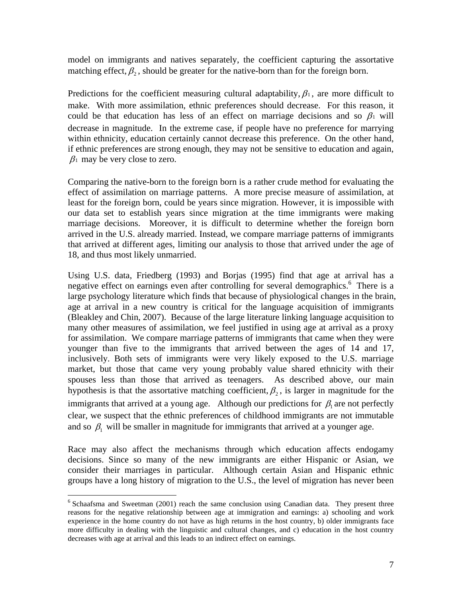model on immigrants and natives separately, the coefficient capturing the assortative matching effect,  $\beta_2$ , should be greater for the native-born than for the foreign born.

Predictions for the coefficient measuring cultural adaptability,  $\beta_1$ , are more difficult to make. With more assimilation, ethnic preferences should decrease. For this reason, it could be that education has less of an effect on marriage decisions and so  $\beta_1$  will decrease in magnitude. In the extreme case, if people have no preference for marrying within ethnicity, education certainly cannot decrease this preference. On the other hand, if ethnic preferences are strong enough, they may not be sensitive to education and again,  $\beta_1$  may be very close to zero.

Comparing the native-born to the foreign born is a rather crude method for evaluating the effect of assimilation on marriage patterns. A more precise measure of assimilation, at least for the foreign born, could be years since migration. However, it is impossible with our data set to establish years since migration at the time immigrants were making marriage decisions. Moreover, it is difficult to determine whether the foreign born arrived in the U.S. already married. Instead, we compare marriage patterns of immigrants that arrived at different ages, limiting our analysis to those that arrived under the age of 18, and thus most likely unmarried.

Using U.S. data, Friedberg (1993) and Borjas (1995) find that age at arrival has a negative effect on earnings even after controlling for several demographics.<sup>6</sup> There is a large psychology literature which finds that because of physiological changes in the brain, age at arrival in a new country is critical for the language acquisition of immigrants (Bleakley and Chin, 2007). Because of the large literature linking language acquisition to many other measures of assimilation, we feel justified in using age at arrival as a proxy for assimilation. We compare marriage patterns of immigrants that came when they were younger than five to the immigrants that arrived between the ages of 14 and 17, inclusively. Both sets of immigrants were very likely exposed to the U.S. marriage market, but those that came very young probably value shared ethnicity with their spouses less than those that arrived as teenagers. As described above, our main hypothesis is that the assortative matching coefficient,  $\beta_2$ , is larger in magnitude for the immigrants that arrived at a young age. Although our predictions for  $\beta_1$  are not perfectly clear, we suspect that the ethnic preferences of childhood immigrants are not immutable and so  $\beta_1$  will be smaller in magnitude for immigrants that arrived at a younger age.

Race may also affect the mechanisms through which education affects endogamy decisions. Since so many of the new immigrants are either Hispanic or Asian, we consider their marriages in particular. Although certain Asian and Hispanic ethnic groups have a long history of migration to the U.S., the level of migration has never been

 $\overline{a}$ 

<sup>&</sup>lt;sup>6</sup> Schaafsma and Sweetman (2001) reach the same conclusion using Canadian data. They present three reasons for the negative relationship between age at immigration and earnings: a) schooling and work experience in the home country do not have as high returns in the host country, b) older immigrants face more difficulty in dealing with the linguistic and cultural changes, and c) education in the host country decreases with age at arrival and this leads to an indirect effect on earnings.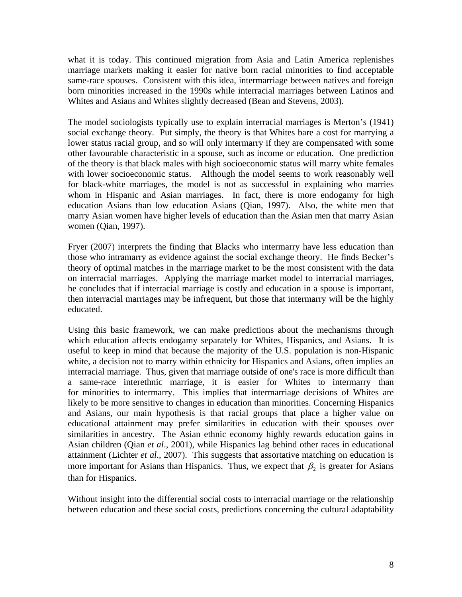what it is today. This continued migration from Asia and Latin America replenishes marriage markets making it easier for native born racial minorities to find acceptable same-race spouses. Consistent with this idea, intermarriage between natives and foreign born minorities increased in the 1990s while interracial marriages between Latinos and Whites and Asians and Whites slightly decreased (Bean and Stevens, 2003).

The model sociologists typically use to explain interracial marriages is Merton's (1941) social exchange theory. Put simply, the theory is that Whites bare a cost for marrying a lower status racial group, and so will only intermarry if they are compensated with some other favourable characteristic in a spouse, such as income or education. One prediction of the theory is that black males with high socioeconomic status will marry white females with lower socioeconomic status. Although the model seems to work reasonably well for black-white marriages, the model is not as successful in explaining who marries whom in Hispanic and Asian marriages. In fact, there is more endogamy for high education Asians than low education Asians (Qian, 1997). Also, the white men that marry Asian women have higher levels of education than the Asian men that marry Asian women (Qian, 1997).

Fryer (2007) interprets the finding that Blacks who intermarry have less education than those who intramarry as evidence against the social exchange theory. He finds Becker's theory of optimal matches in the marriage market to be the most consistent with the data on interracial marriages. Applying the marriage market model to interracial marriages, he concludes that if interracial marriage is costly and education in a spouse is important, then interracial marriages may be infrequent, but those that intermarry will be the highly educated.

Using this basic framework, we can make predictions about the mechanisms through which education affects endogamy separately for Whites, Hispanics, and Asians. It is useful to keep in mind that because the majority of the U.S. population is non-Hispanic white, a decision not to marry within ethnicity for Hispanics and Asians, often implies an interracial marriage. Thus, given that marriage outside of one's race is more difficult than a same-race interethnic marriage, it is easier for Whites to intermarry than for minorities to intermarry. This implies that intermarriage decisions of Whites are likely to be more sensitive to changes in education than minorities. Concerning Hispanics and Asians, our main hypothesis is that racial groups that place a higher value on educational attainment may prefer similarities in education with their spouses over similarities in ancestry. The Asian ethnic economy highly rewards education gains in Asian children (Qian *et al*., 2001), while Hispanics lag behind other races in educational attainment (Lichter *et al*., 2007). This suggests that assortative matching on education is more important for Asians than Hispanics. Thus, we expect that  $\beta_2$  is greater for Asians than for Hispanics.

Without insight into the differential social costs to interracial marriage or the relationship between education and these social costs, predictions concerning the cultural adaptability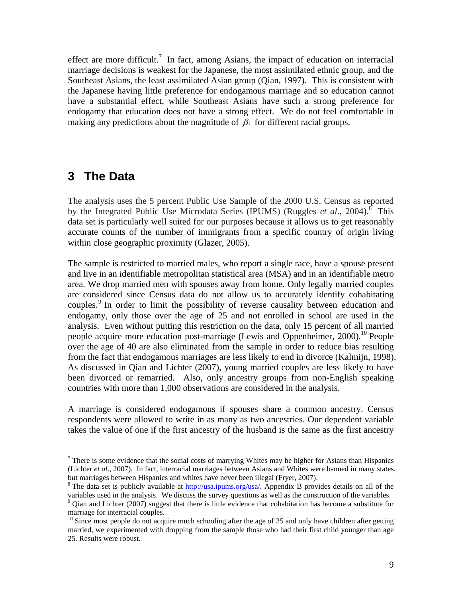effect are more difficult.<sup>7</sup> In fact, among Asians, the impact of education on interracial marriage decisions is weakest for the Japanese, the most assimilated ethnic group, and the Southeast Asians, the least assimilated Asian group (Qian, 1997). This is consistent with the Japanese having little preference for endogamous marriage and so education cannot have a substantial effect, while Southeast Asians have such a strong preference for endogamy that education does not have a strong effect. We do not feel comfortable in making any predictions about the magnitude of  $\beta_1$  for different racial groups.

# **3 The Data**

 $\overline{a}$ 

The analysis uses the 5 percent Public Use Sample of the 2000 U.S. Census as reported by the Integrated Public Use Microdata Series (IPUMS) (Ruggles *et al.*, 2004).<sup>8</sup> This data set is particularly well suited for our purposes because it allows us to get reasonably accurate counts of the number of immigrants from a specific country of origin living within close geographic proximity (Glazer, 2005).

The sample is restricted to married males, who report a single race, have a spouse present and live in an identifiable metropolitan statistical area (MSA) and in an identifiable metro area. We drop married men with spouses away from home. Only legally married couples are considered since Census data do not allow us to accurately identify cohabitating couples.<sup>9</sup> In order to limit the possibility of reverse causality between education and endogamy, only those over the age of 25 and not enrolled in school are used in the analysis. Even without putting this restriction on the data, only 15 percent of all married people acquire more education post-marriage (Lewis and Oppenheimer,  $2000$ ).<sup>10</sup> People over the age of 40 are also eliminated from the sample in order to reduce bias resulting from the fact that endogamous marriages are less likely to end in divorce (Kalmijn, 1998). As discussed in Qian and Lichter (2007), young married couples are less likely to have been divorced or remarried. Also, only ancestry groups from non-English speaking countries with more than 1,000 observations are considered in the analysis.

A marriage is considered endogamous if spouses share a common ancestry. Census respondents were allowed to write in as many as two ancestries. Our dependent variable takes the value of one if the first ancestry of the husband is the same as the first ancestry

 $7$  There is some evidence that the social costs of marrying Whites may be higher for Asians than Hispanics (Lichter *et al*., 2007). In fact, interracial marriages between Asians and Whites were banned in many states, but marriages between Hispanics and whites have never been illegal (Fryer, 2007).

<sup>&</sup>lt;sup>8</sup> The data set is publicly available at  $\frac{http://usa.ipums.org/usa/}{http://usa.ipums.org/usa/}$ . Appendix B provides details on all of the variables used in the analysis. We discuss the survey questions as well as the construction of the variables. 9  $9$  Oian and Lichter (2007) suggest that there is little evidence that cohabitation has become a substitute for marriage for interracial couples.

<sup>&</sup>lt;sup>10</sup> Since most people do not acquire much schooling after the age of 25 and only have children after getting married, we experimented with dropping from the sample those who had their first child younger than age 25. Results were robust.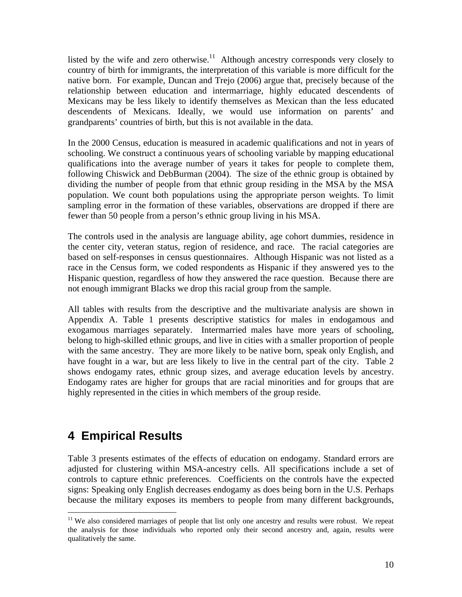listed by the wife and zero otherwise. $11$  Although ancestry corresponds very closely to country of birth for immigrants, the interpretation of this variable is more difficult for the native born. For example, Duncan and Trejo (2006) argue that, precisely because of the relationship between education and intermarriage, highly educated descendents of Mexicans may be less likely to identify themselves as Mexican than the less educated descendents of Mexicans. Ideally, we would use information on parents' and grandparents' countries of birth, but this is not available in the data.

In the 2000 Census, education is measured in academic qualifications and not in years of schooling. We construct a continuous years of schooling variable by mapping educational qualifications into the average number of years it takes for people to complete them, following Chiswick and DebBurman (2004). The size of the ethnic group is obtained by dividing the number of people from that ethnic group residing in the MSA by the MSA population. We count both populations using the appropriate person weights. To limit sampling error in the formation of these variables, observations are dropped if there are fewer than 50 people from a person's ethnic group living in his MSA.

The controls used in the analysis are language ability, age cohort dummies, residence in the center city, veteran status, region of residence, and race. The racial categories are based on self-responses in census questionnaires. Although Hispanic was not listed as a race in the Census form, we coded respondents as Hispanic if they answered yes to the Hispanic question, regardless of how they answered the race question. Because there are not enough immigrant Blacks we drop this racial group from the sample.

All tables with results from the descriptive and the multivariate analysis are shown in Appendix A. Table 1 presents descriptive statistics for males in endogamous and exogamous marriages separately. Intermarried males have more years of schooling, belong to high-skilled ethnic groups, and live in cities with a smaller proportion of people with the same ancestry. They are more likely to be native born, speak only English, and have fought in a war, but are less likely to live in the central part of the city. Table 2 shows endogamy rates, ethnic group sizes, and average education levels by ancestry. Endogamy rates are higher for groups that are racial minorities and for groups that are highly represented in the cities in which members of the group reside.

# **4 Empirical Results**

1

Table 3 presents estimates of the effects of education on endogamy. Standard errors are adjusted for clustering within MSA-ancestry cells. All specifications include a set of controls to capture ethnic preferences. Coefficients on the controls have the expected signs: Speaking only English decreases endogamy as does being born in the U.S. Perhaps because the military exposes its members to people from many different backgrounds,

<sup>&</sup>lt;sup>11</sup> We also considered marriages of people that list only one ancestry and results were robust. We repeat the analysis for those individuals who reported only their second ancestry and, again, results were qualitatively the same.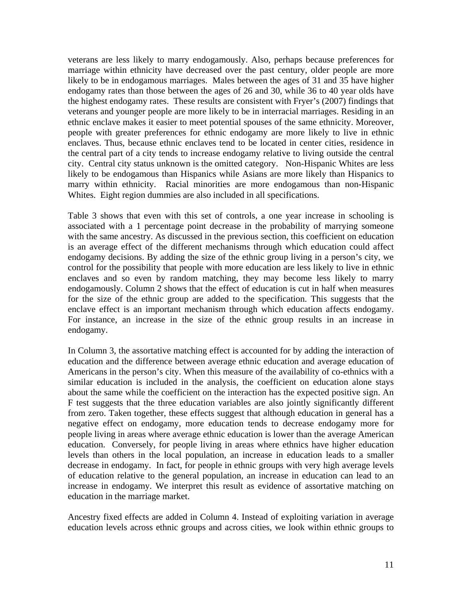veterans are less likely to marry endogamously. Also, perhaps because preferences for marriage within ethnicity have decreased over the past century, older people are more likely to be in endogamous marriages. Males between the ages of 31 and 35 have higher endogamy rates than those between the ages of 26 and 30, while 36 to 40 year olds have the highest endogamy rates. These results are consistent with Fryer's (2007) findings that veterans and younger people are more likely to be in interracial marriages. Residing in an ethnic enclave makes it easier to meet potential spouses of the same ethnicity. Moreover, people with greater preferences for ethnic endogamy are more likely to live in ethnic enclaves. Thus, because ethnic enclaves tend to be located in center cities, residence in the central part of a city tends to increase endogamy relative to living outside the central city. Central city status unknown is the omitted category. Non-Hispanic Whites are less likely to be endogamous than Hispanics while Asians are more likely than Hispanics to marry within ethnicity. Racial minorities are more endogamous than non-Hispanic Whites. Eight region dummies are also included in all specifications.

Table 3 shows that even with this set of controls, a one year increase in schooling is associated with a 1 percentage point decrease in the probability of marrying someone with the same ancestry. As discussed in the previous section, this coefficient on education is an average effect of the different mechanisms through which education could affect endogamy decisions. By adding the size of the ethnic group living in a person's city, we control for the possibility that people with more education are less likely to live in ethnic enclaves and so even by random matching, they may become less likely to marry endogamously. Column 2 shows that the effect of education is cut in half when measures for the size of the ethnic group are added to the specification. This suggests that the enclave effect is an important mechanism through which education affects endogamy. For instance, an increase in the size of the ethnic group results in an increase in endogamy.

In Column 3, the assortative matching effect is accounted for by adding the interaction of education and the difference between average ethnic education and average education of Americans in the person's city. When this measure of the availability of co-ethnics with a similar education is included in the analysis, the coefficient on education alone stays about the same while the coefficient on the interaction has the expected positive sign. An F test suggests that the three education variables are also jointly significantly different from zero. Taken together, these effects suggest that although education in general has a negative effect on endogamy, more education tends to decrease endogamy more for people living in areas where average ethnic education is lower than the average American education. Conversely, for people living in areas where ethnics have higher education levels than others in the local population, an increase in education leads to a smaller decrease in endogamy. In fact, for people in ethnic groups with very high average levels of education relative to the general population, an increase in education can lead to an increase in endogamy. We interpret this result as evidence of assortative matching on education in the marriage market.

Ancestry fixed effects are added in Column 4. Instead of exploiting variation in average education levels across ethnic groups and across cities, we look within ethnic groups to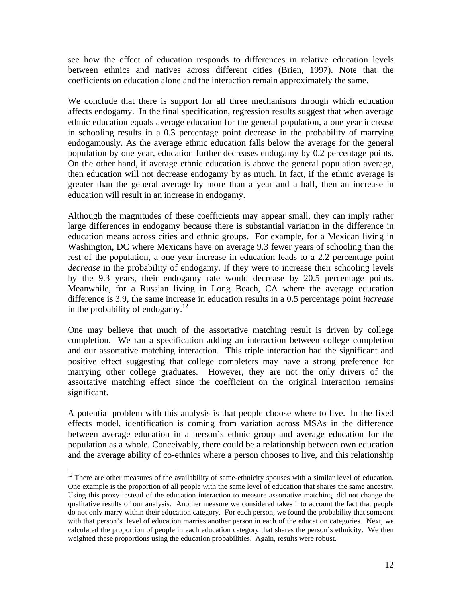see how the effect of education responds to differences in relative education levels between ethnics and natives across different cities (Brien, 1997). Note that the coefficients on education alone and the interaction remain approximately the same.

We conclude that there is support for all three mechanisms through which education affects endogamy. In the final specification, regression results suggest that when average ethnic education equals average education for the general population, a one year increase in schooling results in a 0.3 percentage point decrease in the probability of marrying endogamously. As the average ethnic education falls below the average for the general population by one year, education further decreases endogamy by 0.2 percentage points. On the other hand, if average ethnic education is above the general population average, then education will not decrease endogamy by as much. In fact, if the ethnic average is greater than the general average by more than a year and a half, then an increase in education will result in an increase in endogamy.

Although the magnitudes of these coefficients may appear small, they can imply rather large differences in endogamy because there is substantial variation in the difference in education means across cities and ethnic groups. For example, for a Mexican living in Washington, DC where Mexicans have on average 9.3 fewer years of schooling than the rest of the population, a one year increase in education leads to a 2.2 percentage point *decrease* in the probability of endogamy. If they were to increase their schooling levels by the 9.3 years, their endogamy rate would decrease by 20.5 percentage points. Meanwhile, for a Russian living in Long Beach, CA where the average education difference is 3.9, the same increase in education results in a 0.5 percentage point *increase* in the probability of endogamy.<sup>12</sup>

One may believe that much of the assortative matching result is driven by college completion. We ran a specification adding an interaction between college completion and our assortative matching interaction. This triple interaction had the significant and positive effect suggesting that college completers may have a strong preference for marrying other college graduates. However, they are not the only drivers of the assortative matching effect since the coefficient on the original interaction remains significant.

A potential problem with this analysis is that people choose where to live. In the fixed effects model, identification is coming from variation across MSAs in the difference between average education in a person's ethnic group and average education for the population as a whole. Conceivably, there could be a relationship between own education and the average ability of co-ethnics where a person chooses to live, and this relationship

 $\overline{a}$ 

<sup>&</sup>lt;sup>12</sup> There are other measures of the availability of same-ethnicity spouses with a similar level of education. One example is the proportion of all people with the same level of education that shares the same ancestry. Using this proxy instead of the education interaction to measure assortative matching, did not change the qualitative results of our analysis. Another measure we considered takes into account the fact that people do not only marry within their education category. For each person, we found the probability that someone with that person's level of education marries another person in each of the education categories. Next, we calculated the proportion of people in each education category that shares the person's ethnicity. We then weighted these proportions using the education probabilities. Again, results were robust.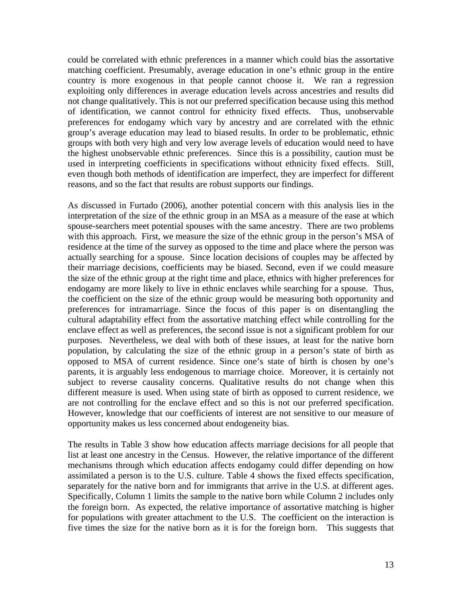could be correlated with ethnic preferences in a manner which could bias the assortative matching coefficient. Presumably, average education in one's ethnic group in the entire country is more exogenous in that people cannot choose it. We ran a regression exploiting only differences in average education levels across ancestries and results did not change qualitatively. This is not our preferred specification because using this method of identification, we cannot control for ethnicity fixed effects. Thus, unobservable preferences for endogamy which vary by ancestry and are correlated with the ethnic group's average education may lead to biased results. In order to be problematic, ethnic groups with both very high and very low average levels of education would need to have the highest unobservable ethnic preferences. Since this is a possibility, caution must be used in interpreting coefficients in specifications without ethnicity fixed effects. Still, even though both methods of identification are imperfect, they are imperfect for different reasons, and so the fact that results are robust supports our findings.

As discussed in Furtado (2006), another potential concern with this analysis lies in the interpretation of the size of the ethnic group in an MSA as a measure of the ease at which spouse-searchers meet potential spouses with the same ancestry. There are two problems with this approach. First, we measure the size of the ethnic group in the person's MSA of residence at the time of the survey as opposed to the time and place where the person was actually searching for a spouse. Since location decisions of couples may be affected by their marriage decisions, coefficients may be biased. Second, even if we could measure the size of the ethnic group at the right time and place, ethnics with higher preferences for endogamy are more likely to live in ethnic enclaves while searching for a spouse. Thus, the coefficient on the size of the ethnic group would be measuring both opportunity and preferences for intramarriage. Since the focus of this paper is on disentangling the cultural adaptability effect from the assortative matching effect while controlling for the enclave effect as well as preferences, the second issue is not a significant problem for our purposes. Nevertheless, we deal with both of these issues, at least for the native born population, by calculating the size of the ethnic group in a person's state of birth as opposed to MSA of current residence. Since one's state of birth is chosen by one's parents, it is arguably less endogenous to marriage choice. Moreover, it is certainly not subject to reverse causality concerns. Qualitative results do not change when this different measure is used. When using state of birth as opposed to current residence, we are not controlling for the enclave effect and so this is not our preferred specification. However, knowledge that our coefficients of interest are not sensitive to our measure of opportunity makes us less concerned about endogeneity bias.

The results in Table 3 show how education affects marriage decisions for all people that list at least one ancestry in the Census. However, the relative importance of the different mechanisms through which education affects endogamy could differ depending on how assimilated a person is to the U.S. culture. Table 4 shows the fixed effects specification, separately for the native born and for immigrants that arrive in the U.S. at different ages. Specifically, Column 1 limits the sample to the native born while Column 2 includes only the foreign born. As expected, the relative importance of assortative matching is higher for populations with greater attachment to the U.S. The coefficient on the interaction is five times the size for the native born as it is for the foreign born. This suggests that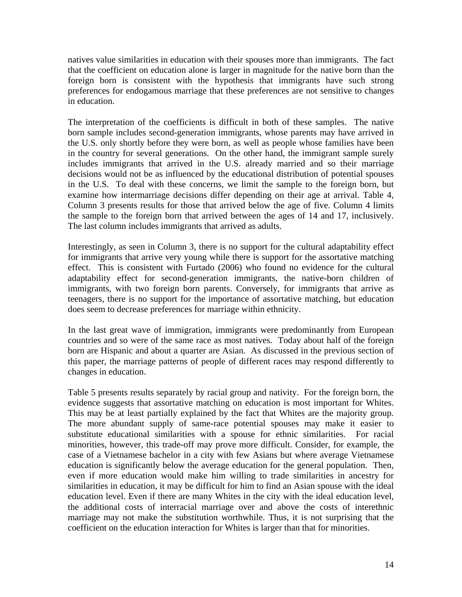natives value similarities in education with their spouses more than immigrants. The fact that the coefficient on education alone is larger in magnitude for the native born than the foreign born is consistent with the hypothesis that immigrants have such strong preferences for endogamous marriage that these preferences are not sensitive to changes in education.

The interpretation of the coefficients is difficult in both of these samples. The native born sample includes second-generation immigrants, whose parents may have arrived in the U.S. only shortly before they were born, as well as people whose families have been in the country for several generations. On the other hand, the immigrant sample surely includes immigrants that arrived in the U.S. already married and so their marriage decisions would not be as influenced by the educational distribution of potential spouses in the U.S. To deal with these concerns, we limit the sample to the foreign born, but examine how intermarriage decisions differ depending on their age at arrival. Table 4, Column 3 presents results for those that arrived below the age of five. Column 4 limits the sample to the foreign born that arrived between the ages of 14 and 17, inclusively. The last column includes immigrants that arrived as adults.

Interestingly, as seen in Column 3, there is no support for the cultural adaptability effect for immigrants that arrive very young while there is support for the assortative matching effect. This is consistent with Furtado (2006) who found no evidence for the cultural adaptability effect for second-generation immigrants, the native-born children of immigrants, with two foreign born parents. Conversely, for immigrants that arrive as teenagers, there is no support for the importance of assortative matching, but education does seem to decrease preferences for marriage within ethnicity.

In the last great wave of immigration, immigrants were predominantly from European countries and so were of the same race as most natives. Today about half of the foreign born are Hispanic and about a quarter are Asian. As discussed in the previous section of this paper, the marriage patterns of people of different races may respond differently to changes in education.

Table 5 presents results separately by racial group and nativity. For the foreign born, the evidence suggests that assortative matching on education is most important for Whites. This may be at least partially explained by the fact that Whites are the majority group. The more abundant supply of same-race potential spouses may make it easier to substitute educational similarities with a spouse for ethnic similarities. For racial minorities, however, this trade-off may prove more difficult. Consider, for example, the case of a Vietnamese bachelor in a city with few Asians but where average Vietnamese education is significantly below the average education for the general population. Then, even if more education would make him willing to trade similarities in ancestry for similarities in education, it may be difficult for him to find an Asian spouse with the ideal education level. Even if there are many Whites in the city with the ideal education level, the additional costs of interracial marriage over and above the costs of interethnic marriage may not make the substitution worthwhile. Thus, it is not surprising that the coefficient on the education interaction for Whites is larger than that for minorities.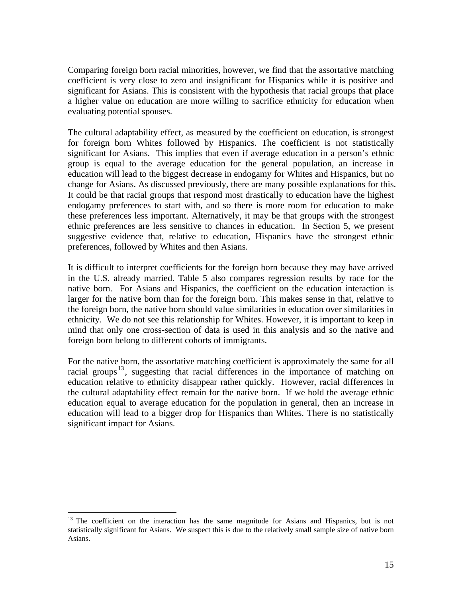Comparing foreign born racial minorities, however, we find that the assortative matching coefficient is very close to zero and insignificant for Hispanics while it is positive and significant for Asians. This is consistent with the hypothesis that racial groups that place a higher value on education are more willing to sacrifice ethnicity for education when evaluating potential spouses.

The cultural adaptability effect, as measured by the coefficient on education, is strongest for foreign born Whites followed by Hispanics. The coefficient is not statistically significant for Asians. This implies that even if average education in a person's ethnic group is equal to the average education for the general population, an increase in education will lead to the biggest decrease in endogamy for Whites and Hispanics, but no change for Asians. As discussed previously, there are many possible explanations for this. It could be that racial groups that respond most drastically to education have the highest endogamy preferences to start with, and so there is more room for education to make these preferences less important. Alternatively, it may be that groups with the strongest ethnic preferences are less sensitive to chances in education. In Section 5, we present suggestive evidence that, relative to education, Hispanics have the strongest ethnic preferences, followed by Whites and then Asians.

It is difficult to interpret coefficients for the foreign born because they may have arrived in the U.S. already married. Table 5 also compares regression results by race for the native born. For Asians and Hispanics, the coefficient on the education interaction is larger for the native born than for the foreign born. This makes sense in that, relative to the foreign born, the native born should value similarities in education over similarities in ethnicity. We do not see this relationship for Whites. However, it is important to keep in mind that only one cross-section of data is used in this analysis and so the native and foreign born belong to different cohorts of immigrants.

For the native born, the assortative matching coefficient is approximately the same for all racial groups<sup>13</sup>, suggesting that racial differences in the importance of matching on education relative to ethnicity disappear rather quickly. However, racial differences in the cultural adaptability effect remain for the native born. If we hold the average ethnic education equal to average education for the population in general, then an increase in education will lead to a bigger drop for Hispanics than Whites. There is no statistically significant impact for Asians.

 $\overline{a}$ 

<sup>&</sup>lt;sup>13</sup> The coefficient on the interaction has the same magnitude for Asians and Hispanics, but is not statistically significant for Asians. We suspect this is due to the relatively small sample size of native born Asians.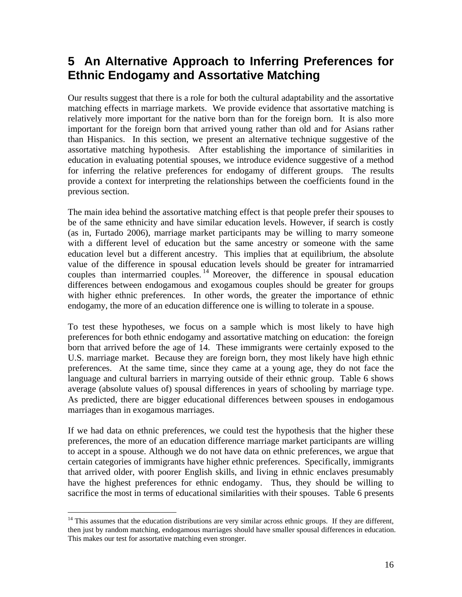# **5 An Alternative Approach to Inferring Preferences for Ethnic Endogamy and Assortative Matching**

Our results suggest that there is a role for both the cultural adaptability and the assortative matching effects in marriage markets. We provide evidence that assortative matching is relatively more important for the native born than for the foreign born. It is also more important for the foreign born that arrived young rather than old and for Asians rather than Hispanics. In this section, we present an alternative technique suggestive of the assortative matching hypothesis. After establishing the importance of similarities in education in evaluating potential spouses, we introduce evidence suggestive of a method for inferring the relative preferences for endogamy of different groups. The results provide a context for interpreting the relationships between the coefficients found in the previous section.

The main idea behind the assortative matching effect is that people prefer their spouses to be of the same ethnicity and have similar education levels. However, if search is costly (as in, Furtado 2006), marriage market participants may be willing to marry someone with a different level of education but the same ancestry or someone with the same education level but a different ancestry. This implies that at equilibrium, the absolute value of the difference in spousal education levels should be greater for intramarried couples than intermarried couples. 14 Moreover, the difference in spousal education differences between endogamous and exogamous couples should be greater for groups with higher ethnic preferences. In other words, the greater the importance of ethnic endogamy, the more of an education difference one is willing to tolerate in a spouse.

To test these hypotheses, we focus on a sample which is most likely to have high preferences for both ethnic endogamy and assortative matching on education: the foreign born that arrived before the age of 14. These immigrants were certainly exposed to the U.S. marriage market. Because they are foreign born, they most likely have high ethnic preferences. At the same time, since they came at a young age, they do not face the language and cultural barriers in marrying outside of their ethnic group. Table 6 shows average (absolute values of) spousal differences in years of schooling by marriage type. As predicted, there are bigger educational differences between spouses in endogamous marriages than in exogamous marriages.

If we had data on ethnic preferences, we could test the hypothesis that the higher these preferences, the more of an education difference marriage market participants are willing to accept in a spouse. Although we do not have data on ethnic preferences, we argue that certain categories of immigrants have higher ethnic preferences. Specifically, immigrants that arrived older, with poorer English skills, and living in ethnic enclaves presumably have the highest preferences for ethnic endogamy. Thus, they should be willing to sacrifice the most in terms of educational similarities with their spouses. Table 6 presents

<sup>1</sup> <sup>14</sup> This assumes that the education distributions are very similar across ethnic groups. If they are different, then just by random matching, endogamous marriages should have smaller spousal differences in education. This makes our test for assortative matching even stronger.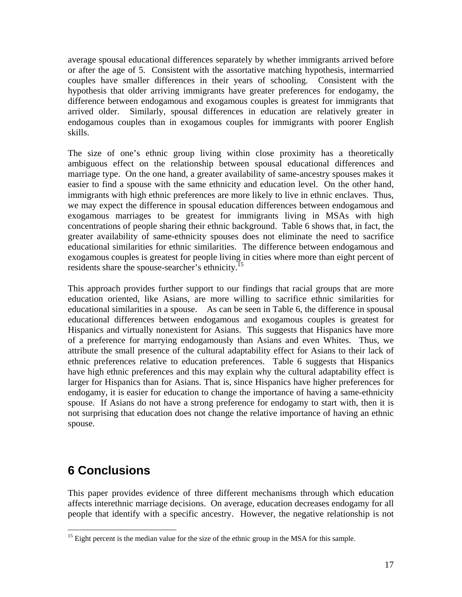average spousal educational differences separately by whether immigrants arrived before or after the age of 5. Consistent with the assortative matching hypothesis, intermarried couples have smaller differences in their years of schooling. Consistent with the hypothesis that older arriving immigrants have greater preferences for endogamy, the difference between endogamous and exogamous couples is greatest for immigrants that arrived older. Similarly, spousal differences in education are relatively greater in endogamous couples than in exogamous couples for immigrants with poorer English skills.

The size of one's ethnic group living within close proximity has a theoretically ambiguous effect on the relationship between spousal educational differences and marriage type. On the one hand, a greater availability of same-ancestry spouses makes it easier to find a spouse with the same ethnicity and education level. On the other hand, immigrants with high ethnic preferences are more likely to live in ethnic enclaves. Thus, we may expect the difference in spousal education differences between endogamous and exogamous marriages to be greatest for immigrants living in MSAs with high concentrations of people sharing their ethnic background. Table 6 shows that, in fact, the greater availability of same-ethnicity spouses does not eliminate the need to sacrifice educational similarities for ethnic similarities. The difference between endogamous and exogamous couples is greatest for people living in cities where more than eight percent of residents share the spouse-searcher's ethnicity.15

This approach provides further support to our findings that racial groups that are more education oriented, like Asians, are more willing to sacrifice ethnic similarities for educational similarities in a spouse. As can be seen in Table 6, the difference in spousal educational differences between endogamous and exogamous couples is greatest for Hispanics and virtually nonexistent for Asians. This suggests that Hispanics have more of a preference for marrying endogamously than Asians and even Whites. Thus, we attribute the small presence of the cultural adaptability effect for Asians to their lack of ethnic preferences relative to education preferences. Table 6 suggests that Hispanics have high ethnic preferences and this may explain why the cultural adaptability effect is larger for Hispanics than for Asians. That is, since Hispanics have higher preferences for endogamy, it is easier for education to change the importance of having a same-ethnicity spouse. If Asians do not have a strong preference for endogamy to start with, then it is not surprising that education does not change the relative importance of having an ethnic spouse.

# **6 Conclusions**

 $\overline{a}$ 

This paper provides evidence of three different mechanisms through which education affects interethnic marriage decisions. On average, education decreases endogamy for all people that identify with a specific ancestry. However, the negative relationship is not

 $<sup>15</sup>$  Eight percent is the median value for the size of the ethnic group in the MSA for this sample.</sup>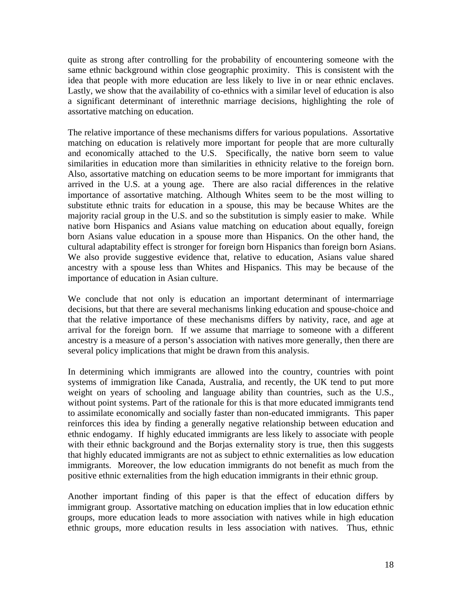quite as strong after controlling for the probability of encountering someone with the same ethnic background within close geographic proximity. This is consistent with the idea that people with more education are less likely to live in or near ethnic enclaves. Lastly, we show that the availability of co-ethnics with a similar level of education is also a significant determinant of interethnic marriage decisions, highlighting the role of assortative matching on education.

The relative importance of these mechanisms differs for various populations. Assortative matching on education is relatively more important for people that are more culturally and economically attached to the U.S. Specifically, the native born seem to value similarities in education more than similarities in ethnicity relative to the foreign born. Also, assortative matching on education seems to be more important for immigrants that arrived in the U.S. at a young age. There are also racial differences in the relative importance of assortative matching. Although Whites seem to be the most willing to substitute ethnic traits for education in a spouse, this may be because Whites are the majority racial group in the U.S. and so the substitution is simply easier to make. While native born Hispanics and Asians value matching on education about equally, foreign born Asians value education in a spouse more than Hispanics. On the other hand, the cultural adaptability effect is stronger for foreign born Hispanics than foreign born Asians. We also provide suggestive evidence that, relative to education, Asians value shared ancestry with a spouse less than Whites and Hispanics. This may be because of the importance of education in Asian culture.

We conclude that not only is education an important determinant of intermarriage decisions, but that there are several mechanisms linking education and spouse-choice and that the relative importance of these mechanisms differs by nativity, race, and age at arrival for the foreign born. If we assume that marriage to someone with a different ancestry is a measure of a person's association with natives more generally, then there are several policy implications that might be drawn from this analysis.

In determining which immigrants are allowed into the country, countries with point systems of immigration like Canada, Australia, and recently, the UK tend to put more weight on years of schooling and language ability than countries, such as the U.S., without point systems. Part of the rationale for this is that more educated immigrants tend to assimilate economically and socially faster than non-educated immigrants. This paper reinforces this idea by finding a generally negative relationship between education and ethnic endogamy. If highly educated immigrants are less likely to associate with people with their ethnic background and the Borjas externality story is true, then this suggests that highly educated immigrants are not as subject to ethnic externalities as low education immigrants. Moreover, the low education immigrants do not benefit as much from the positive ethnic externalities from the high education immigrants in their ethnic group.

Another important finding of this paper is that the effect of education differs by immigrant group. Assortative matching on education implies that in low education ethnic groups, more education leads to more association with natives while in high education ethnic groups, more education results in less association with natives. Thus, ethnic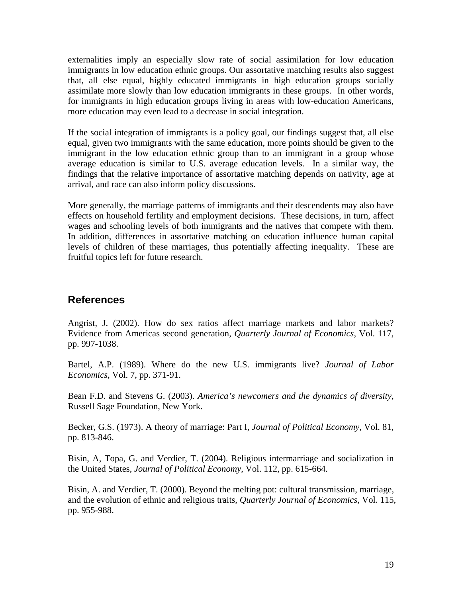externalities imply an especially slow rate of social assimilation for low education immigrants in low education ethnic groups. Our assortative matching results also suggest that, all else equal, highly educated immigrants in high education groups socially assimilate more slowly than low education immigrants in these groups. In other words, for immigrants in high education groups living in areas with low-education Americans, more education may even lead to a decrease in social integration.

If the social integration of immigrants is a policy goal, our findings suggest that, all else equal, given two immigrants with the same education, more points should be given to the immigrant in the low education ethnic group than to an immigrant in a group whose average education is similar to U.S. average education levels. In a similar way, the findings that the relative importance of assortative matching depends on nativity, age at arrival, and race can also inform policy discussions.

More generally, the marriage patterns of immigrants and their descendents may also have effects on household fertility and employment decisions. These decisions, in turn, affect wages and schooling levels of both immigrants and the natives that compete with them. In addition, differences in assortative matching on education influence human capital levels of children of these marriages, thus potentially affecting inequality. These are fruitful topics left for future research.

## **References**

Angrist, J. (2002). How do sex ratios affect marriage markets and labor markets? Evidence from Americas second generation, *Quarterly Journal of Economics*, Vol. 117, pp. 997-1038.

Bartel, A.P. (1989). Where do the new U.S. immigrants live? *Journal of Labor Economics*, Vol. 7, pp. 371-91.

Bean F.D. and Stevens G. (2003). *America's newcomers and the dynamics of diversity*, Russell Sage Foundation, New York.

Becker, G.S. (1973). A theory of marriage: Part I, *Journal of Political Economy*, Vol. 81, pp. 813-846.

Bisin, A, Topa, G. and Verdier, T. (2004). Religious intermarriage and socialization in the United States, *Journal of Political Economy*, Vol. 112, pp. 615-664.

Bisin, A. and Verdier, T. (2000). Beyond the melting pot: cultural transmission, marriage, and the evolution of ethnic and religious traits, *Quarterly Journal of Economics*, Vol. 115, pp. 955-988.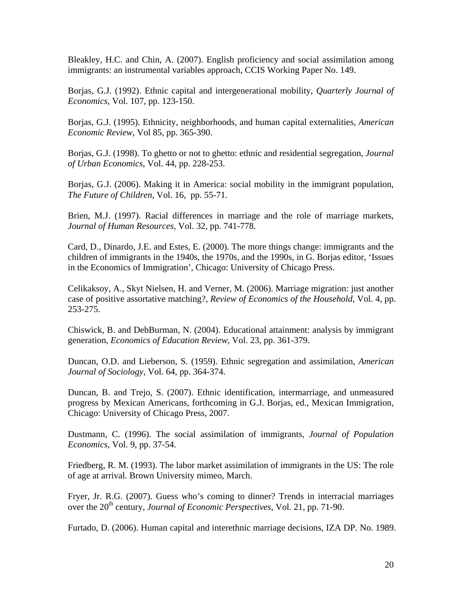Bleakley, H.C. and Chin, A. (2007). English proficiency and social assimilation among immigrants: an instrumental variables approach, CCIS Working Paper No. 149.

Borjas, G.J. (1992). Ethnic capital and intergenerational mobility, *Quarterly Journal of Economics*, Vol. 107, pp. 123-150.

Borjas, G.J. (1995). Ethnicity, neighborhoods, and human capital externalities, *American Economic Review*, Vol 85, pp. 365-390.

Borjas, G.J. (1998). To ghetto or not to ghetto: ethnic and residential segregation, *Journal of Urban Economics*, Vol. 44, pp. 228-253.

Borjas, G.J. (2006). Making it in America: social mobility in the immigrant population, *The Future of Children*, Vol. 16, pp. 55-71.

Brien, M.J. (1997). Racial differences in marriage and the role of marriage markets, *Journal of Human Resources*, Vol. 32, pp. 741-778.

Card, D., Dinardo, J.E. and Estes, E. (2000). The more things change: immigrants and the children of immigrants in the 1940s, the 1970s, and the 1990s, in G. Borjas editor, 'Issues in the Economics of Immigration', Chicago: University of Chicago Press.

Celikaksoy, A., Skyt Nielsen, H. and Verner, M. (2006). Marriage migration: just another case of positive assortative matching?, *Review of Economics of the Household*, Vol. 4, pp. 253-275.

Chiswick, B. and DebBurman, N. (2004). Educational attainment: analysis by immigrant generation, *Economics of Education Review*, Vol. 23, pp. 361-379.

Duncan, O.D. and Lieberson, S. (1959). Ethnic segregation and assimilation, *American Journal of Sociology*, Vol. 64, pp. 364-374.

Duncan, B. and Trejo, S. (2007). Ethnic identification, intermarriage, and unmeasured progress by Mexican Americans, forthcoming in G.J. Borjas, ed., Mexican Immigration, Chicago: University of Chicago Press, 2007.

Dustmann, C. (1996). The social assimilation of immigrants, *Journal of Population Economics*, Vol. 9, pp. 37-54.

Friedberg, R. M. (1993). The labor market assimilation of immigrants in the US: The role of age at arrival. Brown University mimeo, March.

Fryer, Jr. R.G. (2007). Guess who's coming to dinner? Trends in interracial marriages over the 20<sup>th</sup> century, *Journal of Economic Perspectives*, Vol. 21, pp. 71-90.

Furtado, D. (2006). Human capital and interethnic marriage decisions, IZA DP. No. 1989.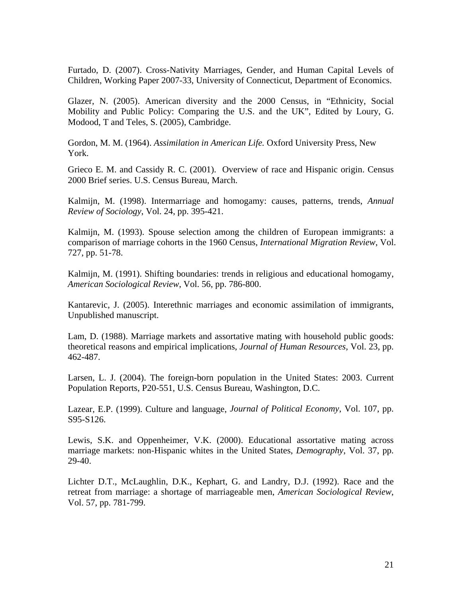Furtado, D. (2007). Cross-Nativity Marriages, Gender, and Human Capital Levels of Children, Working Paper 2007-33, University of Connecticut, Department of Economics.

Glazer, N. (2005). American diversity and the 2000 Census, in "Ethnicity, Social Mobility and Public Policy: Comparing the U.S. and the UK", Edited by Loury, G. Modood, T and Teles, S. (2005), Cambridge.

Gordon, M. M. (1964). *Assimilation in American Life.* Oxford University Press, New York.

Grieco E. M. and Cassidy R. C. (2001). Overview of race and Hispanic origin. Census 2000 Brief series. U.S. Census Bureau, March.

Kalmijn, M. (1998). Intermarriage and homogamy: causes, patterns, trends, *Annual Review of Sociology*, Vol. 24, pp. 395-421.

Kalmijn, M. (1993). Spouse selection among the children of European immigrants: a comparison of marriage cohorts in the 1960 Census, *International Migration Review*, Vol. 727, pp. 51-78.

Kalmijn, M. (1991). Shifting boundaries: trends in religious and educational homogamy, *American Sociological Review*, Vol. 56, pp. 786-800.

Kantarevic, J. (2005). Interethnic marriages and economic assimilation of immigrants, Unpublished manuscript.

Lam, D. (1988). Marriage markets and assortative mating with household public goods: theoretical reasons and empirical implications, *Journal of Human Resources*, Vol. 23, pp. 462-487.

Larsen, L. J. (2004). The foreign-born population in the United States: 2003. Current Population Reports, P20-551, U.S. Census Bureau, Washington, D.C.

Lazear, E.P. (1999). Culture and language, *Journal of Political Economy*, Vol. 107, pp. S95-S126.

Lewis, S.K. and Oppenheimer, V.K. (2000). Educational assortative mating across marriage markets: non-Hispanic whites in the United States, *Demography*, Vol. 37, pp. 29-40.

Lichter D.T., McLaughlin, D.K., Kephart, G. and Landry, D.J. (1992). Race and the retreat from marriage: a shortage of marriageable men, *American Sociological Review*, Vol. 57, pp. 781-799.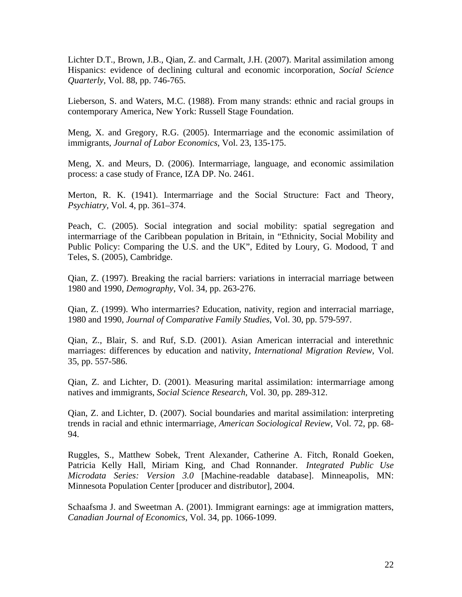Lichter D.T., Brown, J.B., Qian, Z. and Carmalt, J.H. (2007). Marital assimilation among Hispanics: evidence of declining cultural and economic incorporation, *Social Science Quarterly*, Vol. 88, pp. 746-765.

Lieberson, S. and Waters, M.C. (1988). From many strands: ethnic and racial groups in contemporary America, New York: Russell Stage Foundation.

Meng, X. and Gregory, R.G. (2005). Intermarriage and the economic assimilation of immigrants, *Journal of Labor Economics*, Vol. 23, 135-175.

Meng, X. and Meurs, D. (2006). Intermarriage, language, and economic assimilation process: a case study of France, IZA DP. No. 2461.

Merton, R. K. (1941). Intermarriage and the Social Structure: Fact and Theory, *Psychiatry,* Vol. 4, pp. 361–374.

Peach, C. (2005). Social integration and social mobility: spatial segregation and intermarriage of the Caribbean population in Britain, in "Ethnicity, Social Mobility and Public Policy: Comparing the U.S. and the UK", Edited by Loury, G. Modood, T and Teles, S. (2005), Cambridge.

Qian, Z. (1997). Breaking the racial barriers: variations in interracial marriage between 1980 and 1990, *Demography*, Vol. 34, pp. 263-276.

Qian, Z. (1999). Who intermarries? Education, nativity, region and interracial marriage, 1980 and 1990, *Journal of Comparative Family Studies*, Vol. 30, pp. 579-597.

Qian, Z., Blair, S. and Ruf, S.D. (2001). Asian American interracial and interethnic marriages: differences by education and nativity, *International Migration Review*, Vol. 35, pp. 557-586.

Qian, Z. and Lichter, D. (2001). Measuring marital assimilation: intermarriage among natives and immigrants, *Social Science Research*, Vol. 30, pp. 289-312.

Qian, Z. and Lichter, D. (2007). Social boundaries and marital assimilation: interpreting trends in racial and ethnic intermarriage, *American Sociological Review*, Vol. 72, pp. 68- 94.

Ruggles, S., Matthew Sobek, Trent Alexander, Catherine A. Fitch, Ronald Goeken, Patricia Kelly Hall, Miriam King, and Chad Ronnander. *Integrated Public Use Microdata Series: Version 3.0* [Machine-readable database]. Minneapolis, MN: Minnesota Population Center [producer and distributor], 2004.

Schaafsma J. and Sweetman A. (2001). Immigrant earnings: age at immigration matters, *Canadian Journal of Economics*, Vol. 34, pp. 1066-1099.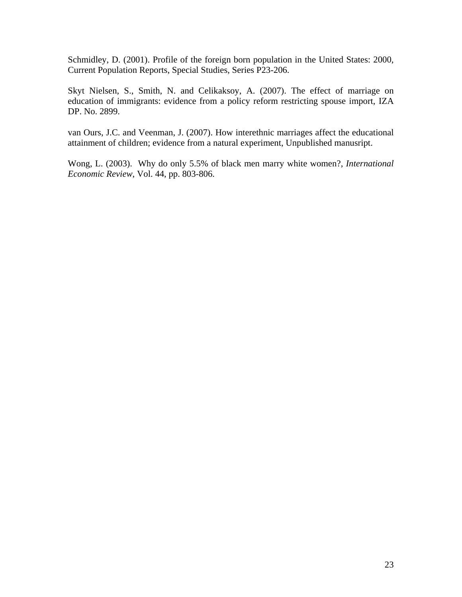Schmidley, D. (2001). Profile of the foreign born population in the United States: 2000, Current Population Reports, Special Studies, Series P23-206.

Skyt Nielsen, S., Smith, N. and Celikaksoy, A. (2007). The effect of marriage on education of immigrants: evidence from a policy reform restricting spouse import, IZA DP. No. 2899.

van Ours, J.C. and Veenman, J. (2007). How interethnic marriages affect the educational attainment of children; evidence from a natural experiment, Unpublished manusript.

Wong, L. (2003). Why do only 5.5% of black men marry white women?, *International Economic Review*, Vol. 44, pp. 803-806.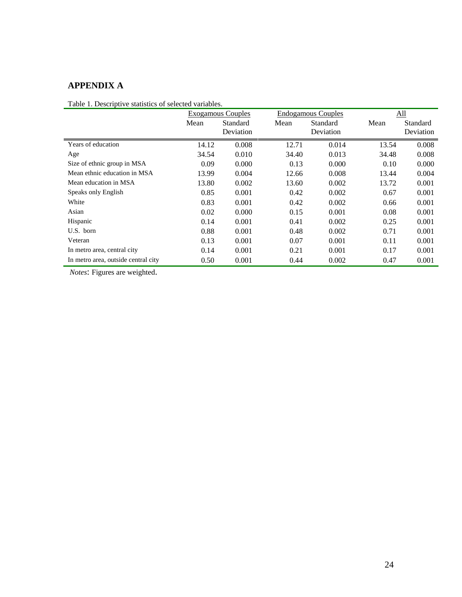# **APPENDIX A**

Table 1. Descriptive statistics of selected variables.

|                                     |       | <b>Exogamous Couples</b> |       | <b>Endogamous Couples</b> |       | All       |  |
|-------------------------------------|-------|--------------------------|-------|---------------------------|-------|-----------|--|
|                                     | Mean  | Standard                 | Mean  | Standard                  | Mean  | Standard  |  |
|                                     |       | Deviation                |       | Deviation                 |       | Deviation |  |
| Years of education                  | 14.12 | 0.008                    | 12.71 | 0.014                     | 13.54 | 0.008     |  |
| Age                                 | 34.54 | 0.010                    | 34.40 | 0.013                     | 34.48 | 0.008     |  |
| Size of ethnic group in MSA         | 0.09  | 0.000                    | 0.13  | 0.000                     | 0.10  | 0.000     |  |
| Mean ethnic education in MSA        | 13.99 | 0.004                    | 12.66 | 0.008                     | 13.44 | 0.004     |  |
| Mean education in MSA               | 13.80 | 0.002                    | 13.60 | 0.002                     | 13.72 | 0.001     |  |
| Speaks only English                 | 0.85  | 0.001                    | 0.42  | 0.002                     | 0.67  | 0.001     |  |
| White                               | 0.83  | 0.001                    | 0.42  | 0.002                     | 0.66  | 0.001     |  |
| Asian                               | 0.02  | 0.000                    | 0.15  | 0.001                     | 0.08  | 0.001     |  |
| Hispanic                            | 0.14  | 0.001                    | 0.41  | 0.002                     | 0.25  | 0.001     |  |
| U.S. born                           | 0.88  | 0.001                    | 0.48  | 0.002                     | 0.71  | 0.001     |  |
| Veteran                             | 0.13  | 0.001                    | 0.07  | 0.001                     | 0.11  | 0.001     |  |
| In metro area, central city         | 0.14  | 0.001                    | 0.21  | 0.001                     | 0.17  | 0.001     |  |
| In metro area, outside central city | 0.50  | 0.001                    | 0.44  | 0.002                     | 0.47  | 0.001     |  |

 *Notes*: Figures are weighted.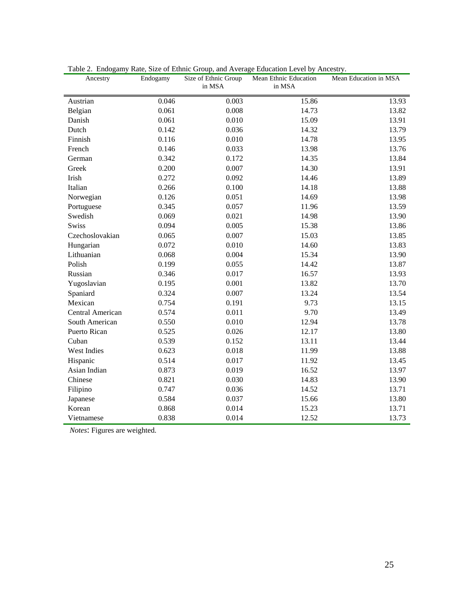| Ancestry         | Endogamy | Size of Ethnic Group<br>in MSA | Mean Ethnic Education<br>in MSA | Mean Education in MSA |
|------------------|----------|--------------------------------|---------------------------------|-----------------------|
| Austrian         | 0.046    | 0.003                          | 15.86                           | 13.93                 |
| Belgian          | 0.061    | 0.008                          | 14.73                           | 13.82                 |
| Danish           | 0.061    | 0.010                          | 15.09                           | 13.91                 |
| Dutch            | 0.142    | 0.036                          | 14.32                           | 13.79                 |
| Finnish          | 0.116    | 0.010                          | 14.78                           | 13.95                 |
| French           | 0.146    | 0.033                          | 13.98                           | 13.76                 |
| German           | 0.342    | 0.172                          | 14.35                           | 13.84                 |
| Greek            | 0.200    | 0.007                          | 14.30                           | 13.91                 |
| Irish            | 0.272    | 0.092                          | 14.46                           | 13.89                 |
| Italian          | 0.266    | 0.100                          | 14.18                           | 13.88                 |
| Norwegian        | 0.126    | 0.051                          | 14.69                           | 13.98                 |
| Portuguese       | 0.345    | 0.057                          | 11.96                           | 13.59                 |
| Swedish          | 0.069    | 0.021                          | 14.98                           | 13.90                 |
| <b>Swiss</b>     | 0.094    | 0.005                          | 15.38                           | 13.86                 |
| Czechoslovakian  | 0.065    | 0.007                          | 15.03                           | 13.85                 |
| Hungarian        | 0.072    | 0.010                          | 14.60                           | 13.83                 |
| Lithuanian       | 0.068    | 0.004                          | 15.34                           | 13.90                 |
| Polish           | 0.199    | 0.055                          | 14.42                           | 13.87                 |
| Russian          | 0.346    | 0.017                          | 16.57                           | 13.93                 |
| Yugoslavian      | 0.195    | 0.001                          | 13.82                           | 13.70                 |
| Spaniard         | 0.324    | 0.007                          | 13.24                           | 13.54                 |
| Mexican          | 0.754    | 0.191                          | 9.73                            | 13.15                 |
| Central American | 0.574    | 0.011                          | 9.70                            | 13.49                 |
| South American   | 0.550    | 0.010                          | 12.94                           | 13.78                 |
| Puerto Rican     | 0.525    | 0.026                          | 12.17                           | 13.80                 |
| Cuban            | 0.539    | 0.152                          | 13.11                           | 13.44                 |
| West Indies      | 0.623    | 0.018                          | 11.99                           | 13.88                 |
| Hispanic         | 0.514    | 0.017                          | 11.92                           | 13.45                 |
| Asian Indian     | 0.873    | 0.019                          | 16.52                           | 13.97                 |
| Chinese          | 0.821    | 0.030                          | 14.83                           | 13.90                 |
| Filipino         | 0.747    | 0.036                          | 14.52                           | 13.71                 |
| Japanese         | 0.584    | 0.037                          | 15.66                           | 13.80                 |
| Korean           | 0.868    | 0.014                          | 15.23                           | 13.71                 |
| Vietnamese       | 0.838    | 0.014                          | 12.52                           | 13.73                 |

Table 2. Endogamy Rate, Size of Ethnic Group, and Average Education Level by Ancestry.

 *Notes*: Figures are weighted.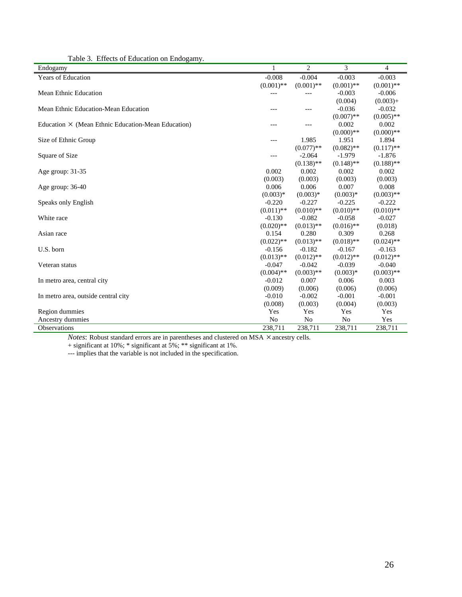| rable 5. Effects of Education on Endogamy.<br>Endogamy    | 1              | 2            | 3            | 4            |
|-----------------------------------------------------------|----------------|--------------|--------------|--------------|
| Years of Education                                        | $-0.008$       | $-0.004$     | $-0.003$     | $-0.003$     |
|                                                           | $(0.001)$ **   | $(0.001)$ ** | $(0.001)$ ** | $(0.001)$ ** |
| <b>Mean Ethnic Education</b>                              |                | ---          | $-0.003$     | $-0.006$     |
|                                                           |                |              | (0.004)      | $(0.003) +$  |
| Mean Ethnic Education-Mean Education                      |                | ---          | $-0.036$     | $-0.032$     |
|                                                           |                |              | $(0.007)$ ** | $(0.005)$ ** |
| Education $\times$ (Mean Ethnic Education-Mean Education) | ---            | ---          | 0.002        | 0.002        |
|                                                           |                |              | $(0.000)$ ** | $(0.000)$ ** |
| Size of Ethnic Group                                      | $---$          | 1.985        | 1.951        | 1.894        |
|                                                           |                | $(0.077)$ ** | $(0.082)$ ** | $(0.117)$ ** |
| Square of Size                                            | ---            | $-2.064$     | $-1.979$     | $-1.876$     |
|                                                           |                | $(0.138)$ ** | $(0.148)$ ** | $(0.188)$ ** |
| Age group: 31-35                                          | 0.002          | 0.002        | 0.002        | 0.002        |
|                                                           | (0.003)        | (0.003)      | (0.003)      | (0.003)      |
| Age group: 36-40                                          | 0.006          | 0.006        | 0.007        | 0.008        |
|                                                           | $(0.003)*$     | $(0.003)*$   | $(0.003)*$   | $(0.003)$ ** |
| Speaks only English                                       | $-0.220$       | $-0.227$     | $-0.225$     | $-0.222$     |
|                                                           | $(0.011)$ **   | $(0.010)$ ** | $(0.010)**$  | $(0.010)$ ** |
| White race                                                | $-0.130$       | $-0.082$     | $-0.058$     | $-0.027$     |
|                                                           | $(0.020)$ **   | $(0.013)$ ** | $(0.016)$ ** | (0.018)      |
| Asian race                                                | 0.154          | 0.280        | 0.309        | 0.268        |
|                                                           | $(0.022)$ **   | $(0.013)$ ** | $(0.018)$ ** | $(0.024)$ ** |
| U.S. born                                                 | $-0.156$       | $-0.182$     | $-0.167$     | $-0.163$     |
|                                                           | $(0.013)$ **   | $(0.012)$ ** | $(0.012)$ ** | $(0.012)$ ** |
| Veteran status                                            | $-0.047$       | $-0.042$     | $-0.039$     | $-0.040$     |
|                                                           | $(0.004)$ **   | $(0.003)$ ** | $(0.003)*$   | $(0.003)$ ** |
| In metro area, central city                               | $-0.012$       | 0.007        | 0.006        | 0.003        |
|                                                           | (0.009)        | (0.006)      | (0.006)      | (0.006)      |
| In metro area, outside central city                       | $-0.010$       | $-0.002$     | $-0.001$     | $-0.001$     |
|                                                           | (0.008)        | (0.003)      | (0.004)      | (0.003)      |
| Region dummies                                            | Yes            | Yes          | Yes          | Yes          |
| Ancestry dummies                                          | N <sub>o</sub> | No           | No           | Yes          |
| <b>Observations</b>                                       | 238,711        | 238,711      | 238,711      | 238,711      |

Table 3. Effects of Education on Endogamy.

*Notes*: Robust standard errors are in parentheses and clustered on MSA  $\times$  ancestry cells.

+ significant at 10%; \* significant at 5%; \*\* significant at 1%.

--- implies that the variable is not included in the specification.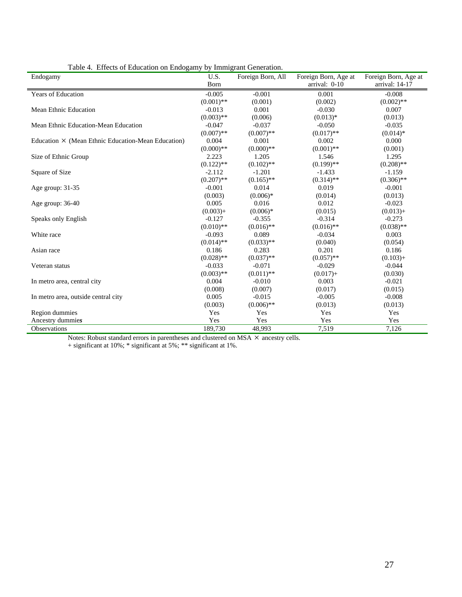| Endogamy                                                  | U.S.         | Foreign Born, All | Foreign Born, Age at | Foreign Born, Age at |
|-----------------------------------------------------------|--------------|-------------------|----------------------|----------------------|
|                                                           | Born         |                   | arrival: 0-10        | arrival: 14-17       |
| Years of Education                                        | $-0.005$     | $-0.001$          | 0.001                | $-0.008$             |
|                                                           | $(0.001)$ ** | (0.001)           | (0.002)              | $(0.002)$ **         |
| <b>Mean Ethnic Education</b>                              | $-0.013$     | 0.001             | $-0.030$             | 0.007                |
|                                                           | $(0.003)$ ** | (0.006)           | $(0.013)*$           | (0.013)              |
| Mean Ethnic Education-Mean Education                      | $-0.047$     | $-0.037$          | $-0.050$             | $-0.035$             |
|                                                           | $(0.007)$ ** | $(0.007)$ **      | $(0.017)$ **         | $(0.014)*$           |
| Education $\times$ (Mean Ethnic Education-Mean Education) | 0.004        | 0.001             | 0.002                | 0.000                |
|                                                           | $(0.000)**$  | $(0.000)**$       | $(0.001)$ **         | (0.001)              |
| Size of Ethnic Group                                      | 2.223        | 1.205             | 1.546                | 1.295                |
|                                                           | $(0.122)$ ** | $(0.102)$ **      | $(0.199)$ **         | $(0.208)$ **         |
| Square of Size                                            | $-2.112$     | $-1.201$          | $-1.433$             | $-1.159$             |
|                                                           | $(0.207)$ ** | $(0.165)$ **      | $(0.314)$ **         | $(0.306)$ **         |
| Age group: 31-35                                          | $-0.001$     | 0.014             | 0.019                | $-0.001$             |
|                                                           | (0.003)      | $(0.006)*$        | (0.014)              | (0.013)              |
| Age group: 36-40                                          | 0.005        | 0.016             | 0.012                | $-0.023$             |
|                                                           | $(0.003) +$  | $(0.006)*$        | (0.015)              | $(0.013) +$          |
| Speaks only English                                       | $-0.127$     | $-0.355$          | $-0.314$             | $-0.273$             |
|                                                           | $(0.010)$ ** | $(0.016)$ **      | $(0.016)$ **         | $(0.038)$ **         |
| White race                                                | $-0.093$     | 0.089             | $-0.034$             | 0.003                |
|                                                           | $(0.014)$ ** | $(0.033)$ **      | (0.040)              | (0.054)              |
| Asian race                                                | 0.186        | 0.283             | 0.201                | 0.186                |
|                                                           | $(0.028)$ ** | $(0.037)$ **      | $(0.057)$ **         | $(0.103) +$          |
| Veteran status                                            | $-0.033$     | $-0.071$          | $-0.029$             | $-0.044$             |
|                                                           | $(0.003)$ ** | $(0.011)$ **      | $(0.017) +$          | (0.030)              |
| In metro area, central city                               | 0.004        | $-0.010$          | 0.003                | $-0.021$             |
|                                                           | (0.008)      | (0.007)           | (0.017)              | (0.015)              |
| In metro area, outside central city                       | 0.005        | $-0.015$          | $-0.005$             | $-0.008$             |
|                                                           | (0.003)      | $(0.006)$ **      | (0.013)              | (0.013)              |
| Region dummies                                            | Yes          | Yes               | Yes                  | Yes                  |
| Ancestry dummies                                          | Yes          | Yes               | Yes                  | Yes                  |
| Observations                                              | 189,730      | 48,993            | 7,519                | 7,126                |

Table 4. Effects of Education on Endogamy by Immigrant Generation.

Notes: Robust standard errors in parentheses and clustered on MSA  $\times$  ancestry cells.

+ significant at 10%; \* significant at 5%; \*\* significant at 1%.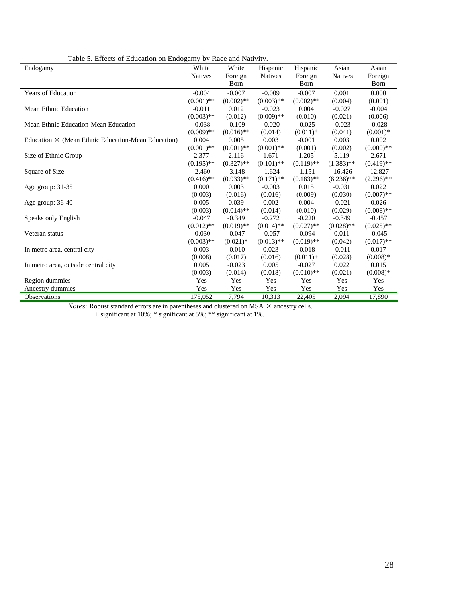| rable 5. Effects of Education on Endogamy by Race and Patriotty.<br>Endogamy | White          | White        | Hispanic       | Hispanic     | Asian        | Asian        |
|------------------------------------------------------------------------------|----------------|--------------|----------------|--------------|--------------|--------------|
|                                                                              | <b>Natives</b> | Foreign      | <b>Natives</b> | Foreign      | Natives      | Foreign      |
|                                                                              |                | Born         |                | Born         |              | Born         |
| <b>Years of Education</b>                                                    | $-0.004$       | $-0.007$     | $-0.009$       | $-0.007$     | 0.001        | 0.000        |
|                                                                              | $(0.001)$ **   | $(0.002)$ ** | $(0.003)$ **   | $(0.002)$ ** | (0.004)      | (0.001)      |
| <b>Mean Ethnic Education</b>                                                 | $-0.011$       | 0.012        | $-0.023$       | 0.004        | $-0.027$     | $-0.004$     |
|                                                                              | $(0.003)$ **   | (0.012)      | $(0.009)$ **   | (0.010)      | (0.021)      | (0.006)      |
| Mean Ethnic Education-Mean Education                                         | $-0.038$       | $-0.109$     | $-0.020$       | $-0.025$     | $-0.023$     | $-0.028$     |
|                                                                              | $(0.009)$ **   | $(0.016)$ ** | (0.014)        | $(0.011)*$   | (0.041)      | $(0.001)*$   |
| Education $\times$ (Mean Ethnic Education-Mean Education)                    | 0.004          | 0.005        | 0.003          | $-0.001$     | 0.003        | 0.002        |
|                                                                              | $(0.001)$ **   | $(0.001)$ ** | $(0.001)$ **   | (0.001)      | (0.002)      | $(0.000)**$  |
| Size of Ethnic Group                                                         | 2.377          | 2.116        | 1.671          | 1.205        | 5.119        | 2.671        |
|                                                                              | $(0.195)$ **   | $(0.327)$ ** | $(0.101)$ **   | $(0.119)$ ** | $(1.383)$ ** | $(0.419)$ ** |
| Square of Size                                                               | $-2.460$       | $-3.148$     | $-1.624$       | $-1.151$     | $-16.426$    | $-12.827$    |
|                                                                              | $(0.416)$ **   | $(0.933)$ ** | $(0.171)$ **   | $(0.183)$ ** | $(6.236)$ ** | $(2.296)$ ** |
| Age group: 31-35                                                             | 0.000          | 0.003        | $-0.003$       | 0.015        | $-0.031$     | 0.022        |
|                                                                              | (0.003)        | (0.016)      | (0.016)        | (0.009)      | (0.030)      | $(0.007)$ ** |
| Age group: 36-40                                                             | 0.005          | 0.039        | 0.002          | 0.004        | $-0.021$     | 0.026        |
|                                                                              | (0.003)        | $(0.014)$ ** | (0.014)        | (0.010)      | (0.029)      | $(0.008)$ ** |
| Speaks only English                                                          | $-0.047$       | $-0.349$     | $-0.272$       | $-0.220$     | $-0.349$     | $-0.457$     |
|                                                                              | $(0.012)$ **   | $(0.019)$ ** | $(0.014)$ **   | $(0.027)$ ** | $(0.028)$ ** | $(0.025)$ ** |
| Veteran status                                                               | $-0.030$       | $-0.047$     | $-0.057$       | $-0.094$     | 0.011        | $-0.045$     |
|                                                                              | $(0.003)$ **   | $(0.021)$ *  | $(0.013)$ **   | $(0.019)$ ** | (0.042)      | $(0.017)$ ** |
| In metro area, central city                                                  | 0.003          | $-0.010$     | 0.023          | $-0.018$     | $-0.011$     | 0.017        |
|                                                                              | (0.008)        | (0.017)      | (0.016)        | $(0.011) +$  | (0.028)      | $(0.008)*$   |
| In metro area, outside central city                                          | 0.005          | $-0.023$     | 0.005          | $-0.027$     | 0.022        | 0.015        |
|                                                                              | (0.003)        | (0.014)      | (0.018)        | $(0.010)$ ** | (0.021)      | $(0.008)*$   |
| Region dummies                                                               | Yes            | Yes          | Yes            | Yes          | Yes          | Yes          |
| Ancestry dummies                                                             | Yes            | Yes          | Yes            | Yes          | Yes          | Yes          |
| Observations                                                                 | 175,052        | 7,794        | 10,313         | 22,405       | 2,094        | 17,890       |

Table 5. Effects of Education on Endogamy by Race and Nativity.

*Notes*: Robust standard errors are in parentheses and clustered on MSA  $\times$  ancestry cells.

+ significant at 10%; \* significant at 5%; \*\* significant at 1%.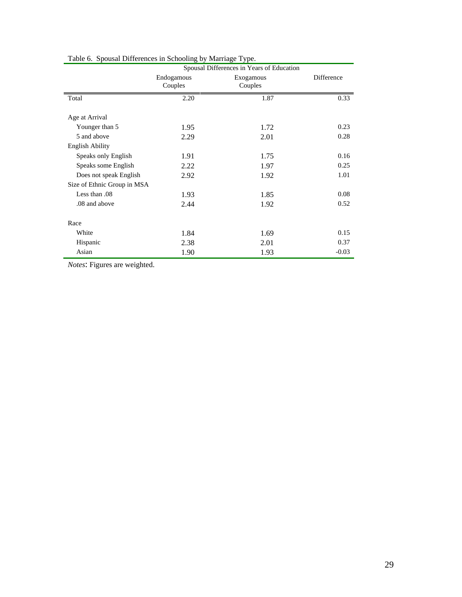|                             | Spousal Differences in Years of Education |                      |            |  |  |
|-----------------------------|-------------------------------------------|----------------------|------------|--|--|
|                             | Endogamous<br>Couples                     | Exogamous<br>Couples | Difference |  |  |
| Total                       | 2.20                                      | 1.87                 | 0.33       |  |  |
|                             |                                           |                      |            |  |  |
| Age at Arrival              |                                           |                      |            |  |  |
| Younger than 5              | 1.95                                      | 1.72                 | 0.23       |  |  |
| 5 and above                 | 2.29                                      | 2.01                 | 0.28       |  |  |
| <b>English Ability</b>      |                                           |                      |            |  |  |
| Speaks only English         | 1.91                                      | 1.75                 | 0.16       |  |  |
| Speaks some English         | 2.22                                      | 1.97                 | 0.25       |  |  |
| Does not speak English      | 2.92                                      | 1.92                 | 1.01       |  |  |
| Size of Ethnic Group in MSA |                                           |                      |            |  |  |
| Less than .08               | 1.93                                      | 1.85                 | 0.08       |  |  |
| .08 and above               | 2.44                                      | 1.92                 | 0.52       |  |  |
|                             |                                           |                      |            |  |  |
| Race                        |                                           |                      |            |  |  |
| White                       | 1.84                                      | 1.69                 | 0.15       |  |  |
| Hispanic                    | 2.38                                      | 2.01                 | 0.37       |  |  |
| Asian                       | 1.90                                      | 1.93                 | $-0.03$    |  |  |

Table 6. Spousal Differences in Schooling by Marriage Type.

*Notes*: Figures are weighted.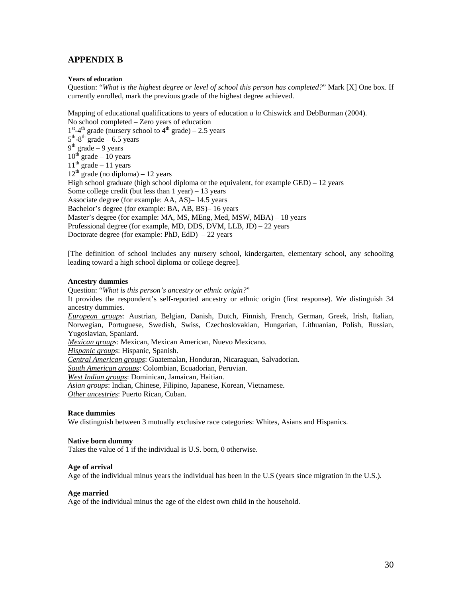## **APPENDIX B**

## **Years of education**

Question: "*What is the highest degree or level of school this person has completed?*" Mark [X] One box. If currently enrolled, mark the previous grade of the highest degree achieved.

Mapping of educational qualifications to years of education *a la* Chiswick and DebBurman (2004). No school completed – Zero years of education  $1<sup>st</sup>$ -4<sup>th</sup> grade (nursery school to 4<sup>th</sup> grade) – 2.5 years  $5<sup>th</sup> - 8<sup>th</sup>$  grade – 6.5 years  $9<sup>th</sup>$  grade – 9 years  $10^{th}$  grade – 10 years  $11<sup>th</sup>$  grade – 11 years  $12<sup>th</sup>$  grade (no diploma) – 12 years High school graduate (high school diploma or the equivalent, for example GED) – 12 years Some college credit (but less than  $1$  year) – 13 years Associate degree (for example: AA, AS)– 14.5 years Bachelor's degree (for example: BA, AB, BS)– 16 years Master's degree (for example: MA, MS, MEng, Med, MSW, MBA) – 18 years Professional degree (for example, MD, DDS, DVM, LLB, JD) – 22 years Doctorate degree (for example: PhD, EdD)  $-22$  years

[The definition of school includes any nursery school, kindergarten, elementary school, any schooling leading toward a high school diploma or college degree].

## **Ancestry dummies**

Question: "*What is this person's ancestry or ethnic origin?*" It provides the respondent's self-reported ancestry or ethnic origin (first response). We distinguish 34 ancestry dummies. *European groups*: Austrian, Belgian, Danish, Dutch, Finnish, French, German, Greek, Irish, Italian, Norwegian, Portuguese, Swedish, Swiss, Czechoslovakian, Hungarian, Lithuanian, Polish, Russian, Yugoslavian, Spaniard. *Mexican groups*: Mexican, Mexican American, Nuevo Mexicano. *Hispanic groups*: Hispanic, Spanish. *Central American groups*: Guatemalan, Honduran, Nicaraguan, Salvadorian. *South American groups*: Colombian, Ecuadorian, Peruvian. *West Indian groups*: Dominican, Jamaican, Haitian. *Asian groups*: Indian, Chinese, Filipino, Japanese, Korean, Vietnamese. *Other ancestries*: Puerto Rican, Cuban.

## **Race dummies**

We distinguish between 3 mutually exclusive race categories: Whites, Asians and Hispanics.

#### **Native born dummy**

Takes the value of 1 if the individual is U.S. born, 0 otherwise.

#### **Age of arrival**

Age of the individual minus years the individual has been in the U.S (years since migration in the U.S.).

#### **Age married**

Age of the individual minus the age of the eldest own child in the household.